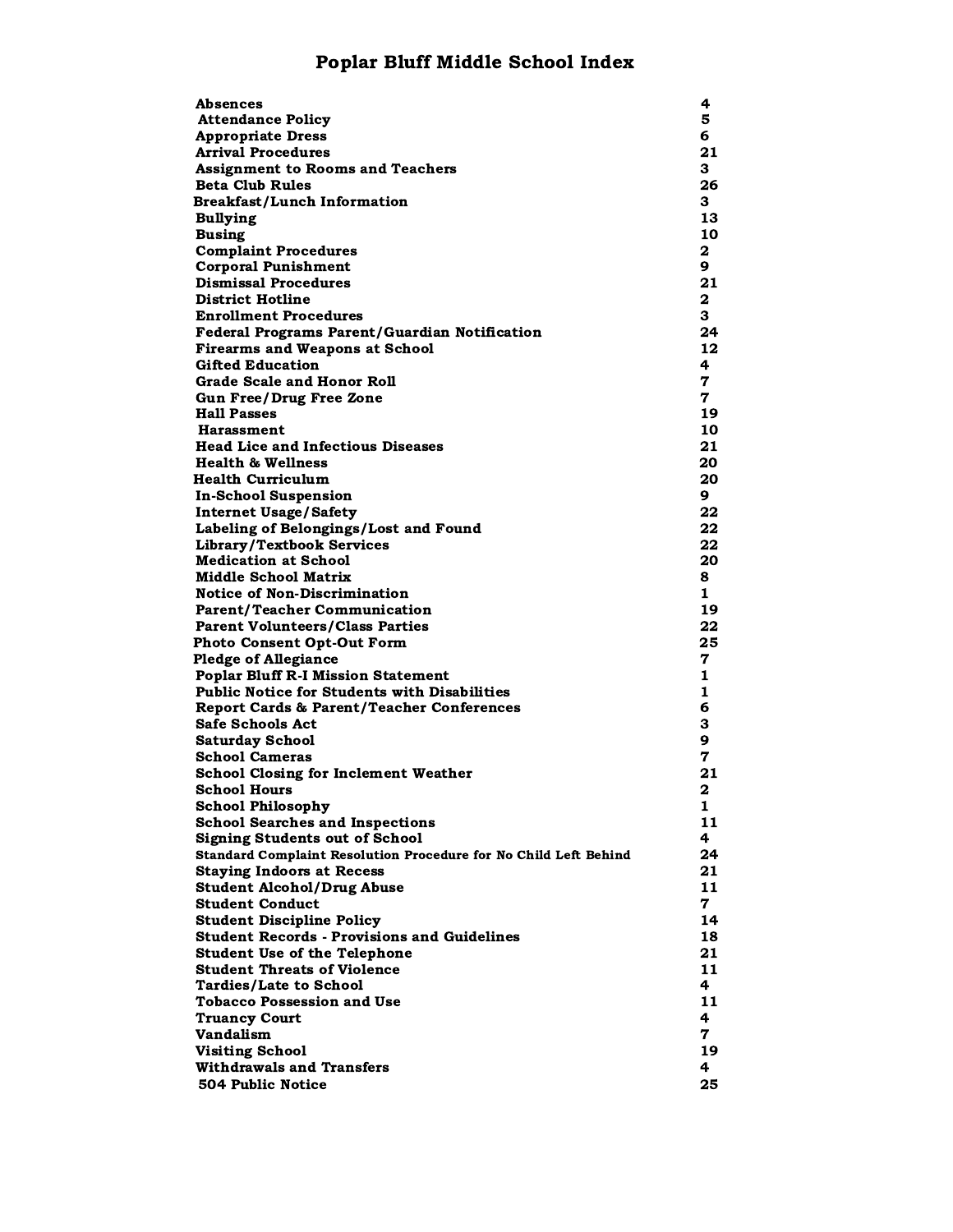### Poplar Bluff Middle School Index

| Absences                                                         | 4            |
|------------------------------------------------------------------|--------------|
| <b>Attendance Policy</b>                                         | 5            |
| <b>Appropriate Dress</b>                                         | 6            |
| Arrival Procedures                                               | 21           |
|                                                                  |              |
| <b>Assignment to Rooms and Teachers</b>                          | 3.           |
| <b>Beta Club Rules</b>                                           | 26           |
| <b>Breakfast/Lunch Information</b>                               | 3.           |
| <b>Bullying</b>                                                  | 13           |
| <b>Busing</b>                                                    | 10           |
| <b>Complaint Procedures</b>                                      | $\mathbf{2}$ |
| <b>Corporal Punishment</b>                                       | 9            |
| <b>Dismissal Procedures</b>                                      | 21           |
| <b>District Hotline</b>                                          | 2            |
| <b>Enrollment Procedures</b>                                     | 3            |
| <b>Federal Programs Parent/Guardian Notification</b>             | 24           |
| <b>Firearms and Weapons at School</b>                            | 12           |
| <b>Gifted Education</b>                                          | 4            |
| <b>Grade Scale and Honor Roll</b>                                | 7            |
| <b>Gun Free/Drug Free Zone</b>                                   | 7            |
| <b>Hall Passes</b>                                               | 19           |
| Harassment                                                       | 10           |
| <b>Head Lice and Infectious Diseases</b>                         | 21           |
| <b>Health &amp; Wellness</b>                                     |              |
|                                                                  | 20           |
| <b>Health Curriculum</b>                                         | 20           |
| <b>In-School Suspension</b>                                      | 9            |
| <b>Internet Usage/Safety</b>                                     | 22           |
| Labeling of Belongings/Lost and Found                            | 22           |
| Library/Textbook Services                                        | 22           |
| <b>Medication at School</b>                                      | 20           |
| <b>Middle School Matrix</b>                                      | 8.           |
| <b>Notice of Non-Discrimination</b>                              | 1            |
| <b>Parent/Teacher Communication</b>                              | 19           |
| <b>Parent Volunteers/Class Parties</b>                           | 22           |
| <b>Photo Consent Opt-Out Form</b>                                | 25           |
| <b>Pledge of Allegiance</b>                                      | 7            |
| <b>Poplar Bluff R-I Mission Statement</b>                        | 1            |
| <b>Public Notice for Students with Disabilities</b>              | $\mathbf{1}$ |
| <b>Report Cards &amp; Parent/Teacher Conferences</b>             | 6            |
| <b>Safe Schools Act</b>                                          | З            |
| <b>Saturday School</b>                                           | 9            |
| <b>School Cameras</b>                                            | 7            |
| <b>School Closing for Inclement Weather</b>                      | 21           |
| School Hours                                                     | 2            |
| <b>School Philosophy</b>                                         | 1            |
| <b>School Searches and Inspections</b>                           | 11           |
|                                                                  |              |
| <b>Signing Students out of School</b>                            | 4            |
| Standard Complaint Resolution Procedure for No Child Left Behind | 24           |
| <b>Staying Indoors at Recess</b>                                 | 21           |
| <b>Student Alcohol/Drug Abuse</b>                                | 11           |
| <b>Student Conduct</b>                                           | 7            |
| <b>Student Discipline Policy</b>                                 | 14           |
| <b>Student Records - Provisions and Guidelines</b>               | 18           |
| <b>Student Use of the Telephone</b>                              | 21           |
| <b>Student Threats of Violence</b>                               | 11           |
| <b>Tardies/Late to School</b>                                    | 4            |
| Tobacco Possession and Use                                       | 11           |
| <b>Truancy Court</b>                                             | 4            |
| Vandalism                                                        | 7            |
| <b>Visiting School</b>                                           | 19           |
| <b>Withdrawals and Transfers</b>                                 | 4            |
| 504 Public Notice                                                | 25           |
|                                                                  |              |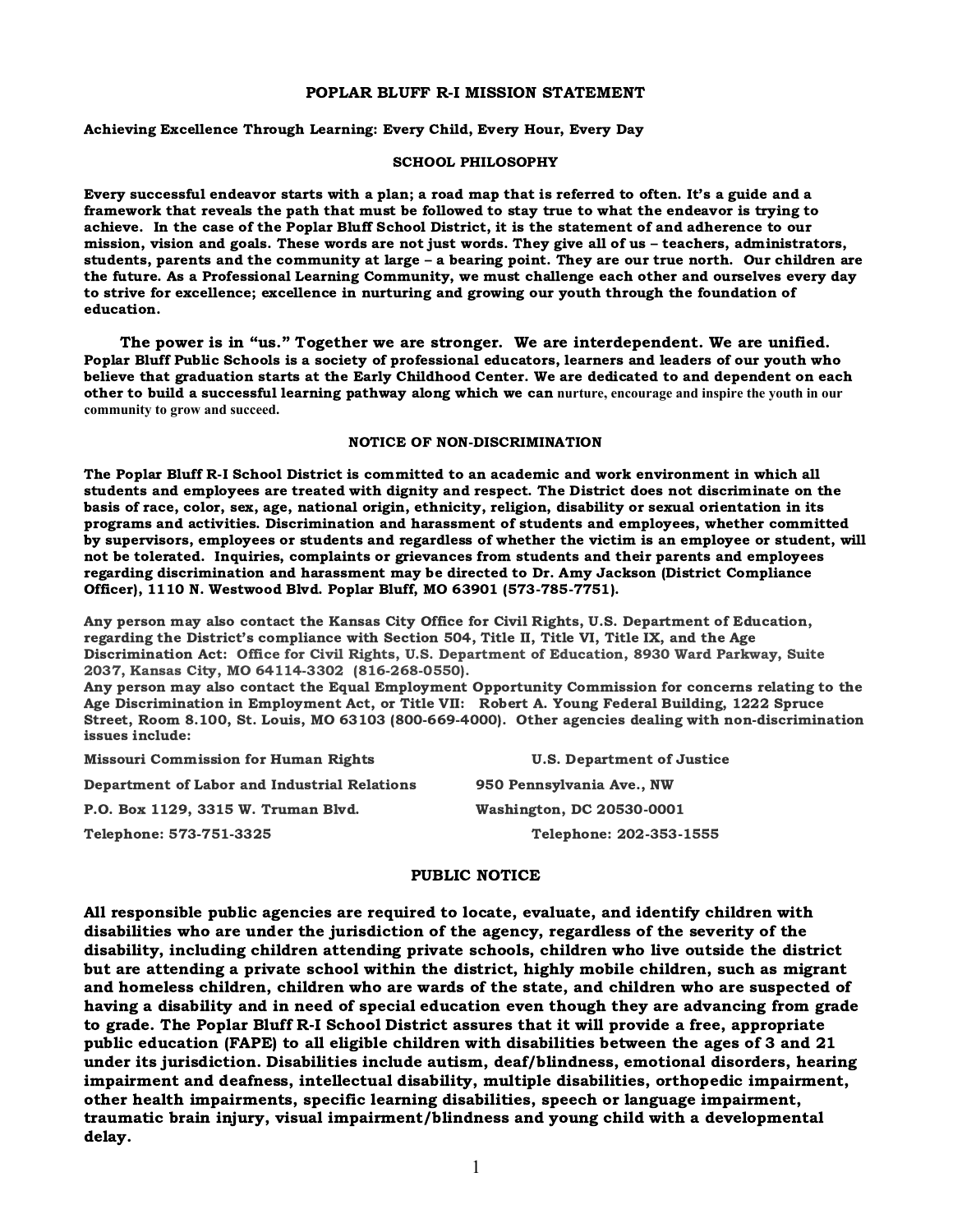#### POPLAR BLUFF R-I MISSION STATEMENT

#### Achieving Excellence Through Learning: Every Child, Every Hour, Every Day

#### SCHOOL PHILOSOPHY

Every successful endeavor starts with a plan; a road map that is referred to often. It's a guide and a framework that reveals the path that must be followed to stay true to what the endeavor is trying to achieve. In the case of the Poplar Bluff School District, it is the statement of and adherence to our mission, vision and goals. These words are not just words. They give all of us – teachers, administrators, students, parents and the community at large – a bearing point. They are our true north. Our children are the future. As a Professional Learning Community, we must challenge each other and ourselves every day to strive for excellence; excellence in nurturing and growing our youth through the foundation of education.

The power is in "us." Together we are stronger. We are interdependent. We are unified. Poplar Bluff Public Schools is a society of professional educators, learners and leaders of our youth who believe that graduation starts at the Early Childhood Center. We are dedicated to and dependent on each other to build a successful learning pathway along which we can **nurture, encourage and inspire the youth in our community to grow and succeed.**

#### NOTICE OF NON-DISCRIMINATION

The Poplar Bluff R-I School District is committed to an academic and work environment in which all students and employees are treated with dignity and respect. The District does not discriminate on the basis of race, color, sex, age, national origin, ethnicity, religion, disability or sexual orientation in its programs and activities. Discrimination and harassment of students and employees, whether committed by supervisors, employees or students and regardless of whether the victim is an employee or student, will not be tolerated. Inquiries, complaints or grievances from students and their parents and employees regarding discrimination and harassment may be directed to Dr. Amy Jackson (District Compliance Officer), 1110 N. Westwood Blvd. Poplar Bluff, MO 63901 (573-785-7751).

Any person may also contact the Kansas City Office for Civil Rights, U.S. Department of Education, regarding the District's compliance with Section 504, Title II, Title VI, Title IX, and the Age Discrimination Act: Office for Civil Rights, U.S. Department of Education, 8930 Ward Parkway, Suite 2037, Kansas City, MO 64114-3302 (816-268-0550).

Any person may also contact the Equal Employment Opportunity Commission for concerns relating to the Age Discrimination in Employment Act, or Title VII: Robert A. Young Federal Building, 1222 Spruce Street, Room 8.100, St. Louis, MO 63103 (800-669-4000). Other agencies dealing with non-discrimination issues include:

Missouri Commission for Human Rights U.S. Department of Justice Department of Labor and Industrial Relations 950 Pennsylvania Ave., NW P.O. Box 1129, 3315 W. Truman Blvd. Washington, DC 20530-0001 Telephone: 573-751-3325 Telephone: 202-353-1555

#### PUBLIC NOTICE

All responsible public agencies are required to locate, evaluate, and identify children with disabilities who are under the jurisdiction of the agency, regardless of the severity of the disability, including children attending private schools, children who live outside the district but are attending a private school within the district, highly mobile children, such as migrant and homeless children, children who are wards of the state, and children who are suspected of having a disability and in need of special education even though they are advancing from grade to grade. The Poplar Bluff R-I School District assures that it will provide a free, appropriate public education (FAPE) to all eligible children with disabilities between the ages of 3 and 21 under its jurisdiction. Disabilities include autism, deaf/blindness, emotional disorders, hearing impairment and deafness, intellectual disability, multiple disabilities, orthopedic impairment, other health impairments, specific learning disabilities, speech or language impairment, traumatic brain injury, visual impairment/blindness and young child with a developmental delay.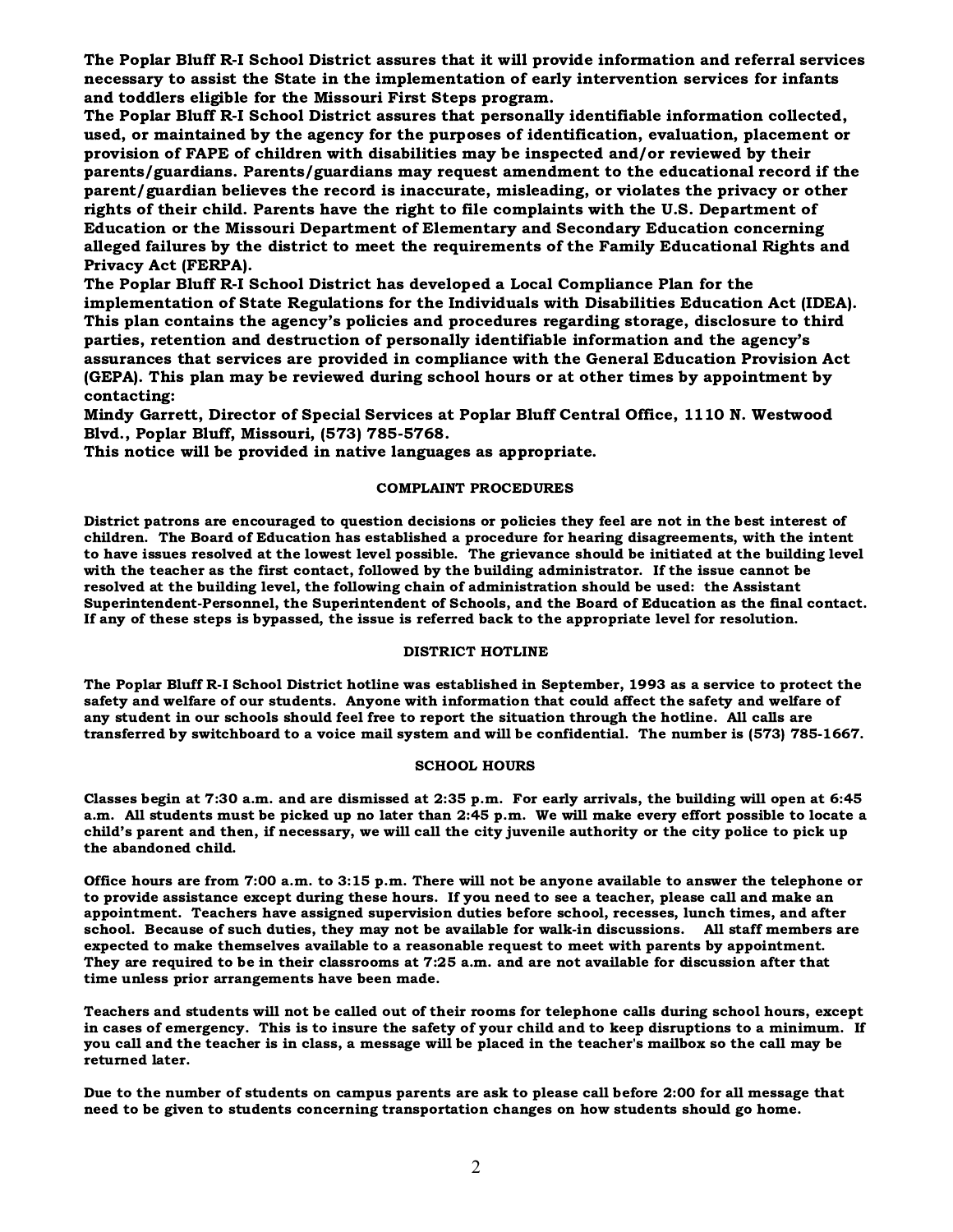The Poplar Bluff R-I School District assures that it will provide information and referral services necessary to assist the State in the implementation of early intervention services for infants and toddlers eligible for the Missouri First Steps program.

The Poplar Bluff R-I School District assures that personally identifiable information collected, used, or maintained by the agency for the purposes of identification, evaluation, placement or provision of FAPE of children with disabilities may be inspected and/or reviewed by their parents/guardians. Parents/guardians may request amendment to the educational record if the parent/guardian believes the record is inaccurate, misleading, or violates the privacy or other rights of their child. Parents have the right to file complaints with the U.S. Department of Education or the Missouri Department of Elementary and Secondary Education concerning alleged failures by the district to meet the requirements of the Family Educational Rights and Privacy Act (FERPA).

The Poplar Bluff R-I School District has developed a Local Compliance Plan for the implementation of State Regulations for the Individuals with Disabilities Education Act (IDEA). This plan contains the agency's policies and procedures regarding storage, disclosure to third parties, retention and destruction of personally identifiable information and the agency's assurances that services are provided in compliance with the General Education Provision Act (GEPA). This plan may be reviewed during school hours or at other times by appointment by contacting:

Mindy Garrett, Director of Special Services at Poplar Bluff Central Office, 1110 N. Westwood Blvd., Poplar Bluff, Missouri, (573) 785-5768.

This notice will be provided in native languages as appropriate.

#### COMPLAINT PROCEDURES

District patrons are encouraged to question decisions or policies they feel are not in the best interest of children. The Board of Education has established a procedure for hearing disagreements, with the intent to have issues resolved at the lowest level possible. The grievance should be initiated at the building level with the teacher as the first contact, followed by the building administrator. If the issue cannot be resolved at the building level, the following chain of administration should be used: the Assistant Superintendent-Personnel, the Superintendent of Schools, and the Board of Education as the final contact. If any of these steps is bypassed, the issue is referred back to the appropriate level for resolution.

#### DISTRICT HOTLINE

The Poplar Bluff R-I School District hotline was established in September, 1993 as a service to protect the safety and welfare of our students. Anyone with information that could affect the safety and welfare of any student in our schools should feel free to report the situation through the hotline. All calls are transferred by switchboard to a voice mail system and will be confidential. The number is (573) 785-1667.

#### SCHOOL HOURS

Classes begin at 7:30 a.m. and are dismissed at 2:35 p.m. For early arrivals, the building will open at 6:45 a.m. All students must be picked up no later than 2:45 p.m. We will make every effort possible to locate a child's parent and then, if necessary, we will call the city juvenile authority or the city police to pick up the abandoned child.

Office hours are from 7:00 a.m. to 3:15 p.m. There will not be anyone available to answer the telephone or to provide assistance except during these hours. If you need to see a teacher, please call and make an appointment. Teachers have assigned supervision duties before school, recesses, lunch times, and after school. Because of such duties, they may not be available for walk-in discussions. All staff members are expected to make themselves available to a reasonable request to meet with parents by appointment. They are required to be in their classrooms at 7:25 a.m. and are not available for discussion after that time unless prior arrangements have been made.

Teachers and students will not be called out of their rooms for telephone calls during school hours, except in cases of emergency. This is to insure the safety of your child and to keep disruptions to a minimum. If you call and the teacher is in class, a message will be placed in the teacher's mailbox so the call may be returned later.

Due to the number of students on campus parents are ask to please call before 2:00 for all message that need to be given to students concerning transportation changes on how students should go home.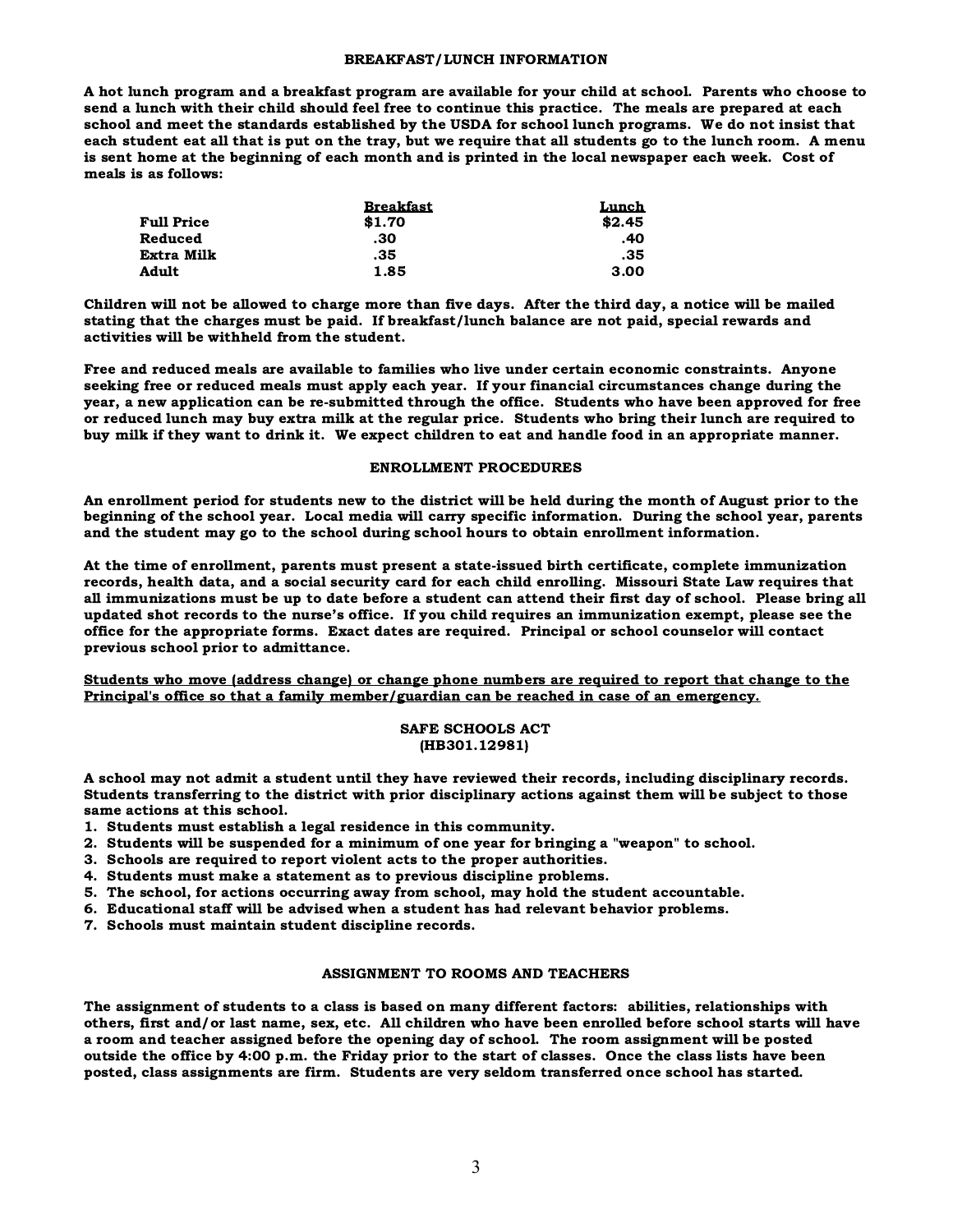#### BREAKFAST/LUNCH INFORMATION

A hot lunch program and a breakfast program are available for your child at school. Parents who choose to send a lunch with their child should feel free to continue this practice. The meals are prepared at each school and meet the standards established by the USDA for school lunch programs. We do not insist that each student eat all that is put on the tray, but we require that all students go to the lunch room. A menu is sent home at the beginning of each month and is printed in the local newspaper each week. Cost of meals is as follows:

|                   | <b>Breakfast</b> | Lunch  |
|-------------------|------------------|--------|
| <b>Full Price</b> | \$1.70           | \$2.45 |
| Reduced           | .30              | .40    |
| Extra Milk        | .35              | .35    |
| Adult             | 1.85             | 3.00   |

Children will not be allowed to charge more than five days. After the third day, a notice will be mailed stating that the charges must be paid. If breakfast/lunch balance are not paid, special rewards and activities will be withheld from the student.

Free and reduced meals are available to families who live under certain economic constraints. Anyone seeking free or reduced meals must apply each year. If your financial circumstances change during the year, a new application can be re-submitted through the office. Students who have been approved for free or reduced lunch may buy extra milk at the regular price. Students who bring their lunch are required to buy milk if they want to drink it. We expect children to eat and handle food in an appropriate manner.

#### ENROLLMENT PROCEDURES

An enrollment period for students new to the district will be held during the month of August prior to the beginning of the school year. Local media will carry specific information. During the school year, parents and the student may go to the school during school hours to obtain enrollment information.

At the time of enrollment, parents must present a state-issued birth certificate, complete immunization records, health data, and a social security card for each child enrolling. Missouri State Law requires that all immunizations must be up to date before a student can attend their first day of school. Please bring all updated shot records to the nurse's office. If you child requires an immunization exempt, please see the office for the appropriate forms. Exact dates are required. Principal or school counselor will contact previous school prior to admittance.

Students who move (address change) or change phone numbers are required to report that change to the Principal's office so that a family member/guardian can be reached in case of an emergency.

#### SAFE SCHOOLS ACT (HB301.12981)

A school may not admit a student until they have reviewed their records, including disciplinary records. Students transferring to the district with prior disciplinary actions against them will be subject to those same actions at this school.

- 1. Students must establish a legal residence in this community.
- 2. Students will be suspended for a minimum of one year for bringing a "weapon" to school.
- 3. Schools are required to report violent acts to the proper authorities.
- 4. Students must make a statement as to previous discipline problems.
- 5. The school, for actions occurring away from school, may hold the student accountable.
- 6. Educational staff will be advised when a student has had relevant behavior problems.
- 7. Schools must maintain student discipline records.

#### ASSIGNMENT TO ROOMS AND TEACHERS

The assignment of students to a class is based on many different factors: abilities, relationships with others, first and/or last name, sex, etc. All children who have been enrolled before school starts will have a room and teacher assigned before the opening day of school. The room assignment will be posted outside the office by 4:00 p.m. the Friday prior to the start of classes. Once the class lists have been posted, class assignments are firm. Students are very seldom transferred once school has started.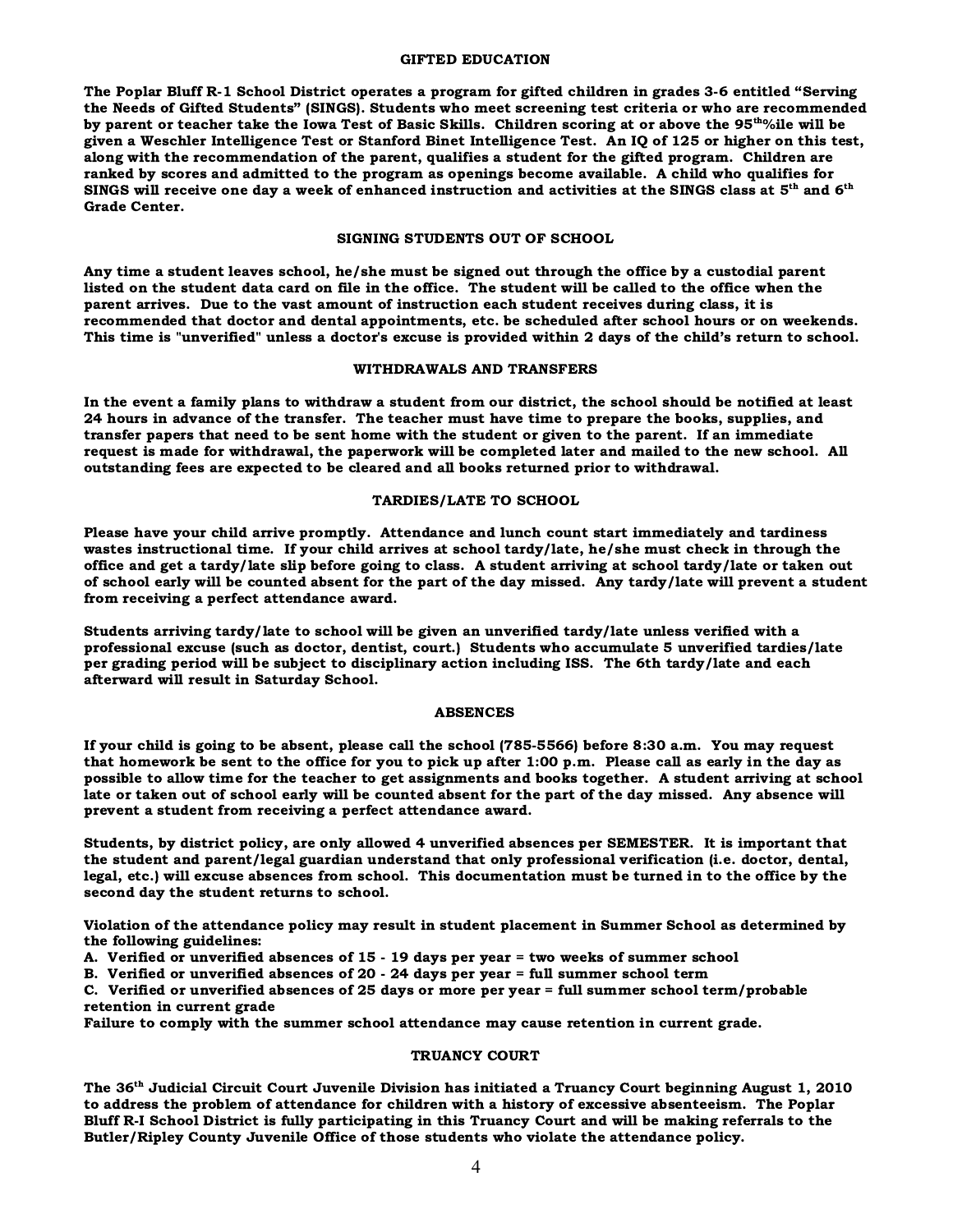#### GIFTED EDUCATION

The Poplar Bluff R-1 School District operates a program for gifted children in grades 3-6 entitled "Serving the Needs of Gifted Students" (SINGS). Students who meet screening test criteria or who are recommended by parent or teacher take the Iowa Test of Basic Skills. Children scoring at or above the 95<sup>th</sup>%ile will be given a Weschler Intelligence Test or Stanford Binet Intelligence Test. An IQ of 125 or higher on this test, along with the recommendation of the parent, qualifies a student for the gifted program. Children are ranked by scores and admitted to the program as openings become available. A child who qualifies for SINGS will receive one day a week of enhanced instruction and activities at the SINGS class at 5<sup>th</sup> and 6<sup>th</sup> Grade Center.

#### SIGNING STUDENTS OUT OF SCHOOL

Any time a student leaves school, he/she must be signed out through the office by a custodial parent listed on the student data card on file in the office. The student will be called to the office when the parent arrives. Due to the vast amount of instruction each student receives during class, it is recommended that doctor and dental appointments, etc. be scheduled after school hours or on weekends. This time is "unverified" unless a doctor's excuse is provided within 2 days of the child's return to school.

#### WITHDRAWALS AND TRANSFERS

In the event a family plans to withdraw a student from our district, the school should be notified at least 24 hours in advance of the transfer. The teacher must have time to prepare the books, supplies, and transfer papers that need to be sent home with the student or given to the parent. If an immediate request is made for withdrawal, the paperwork will be completed later and mailed to the new school. All outstanding fees are expected to be cleared and all books returned prior to withdrawal.

#### TARDIES/LATE TO SCHOOL

Please have your child arrive promptly. Attendance and lunch count start immediately and tardiness wastes instructional time. If your child arrives at school tardy/late, he/she must check in through the office and get a tardy/late slip before going to class. A student arriving at school tardy/late or taken out of school early will be counted absent for the part of the day missed. Any tardy/late will prevent a student from receiving a perfect attendance award.

Students arriving tardy/late to school will be given an unverified tardy/late unless verified with a professional excuse (such as doctor, dentist, court.) Students who accumulate 5 unverified tardies/late per grading period will be subject to disciplinary action including ISS. The 6th tardy/late and each afterward will result in Saturday School.

#### ABSENCES

If your child is going to be absent, please call the school (785-5566) before 8:30 a.m. You may request that homework be sent to the office for you to pick up after 1:00 p.m. Please call as early in the day as possible to allow time for the teacher to get assignments and books together. A student arriving at school late or taken out of school early will be counted absent for the part of the day missed. Any absence will prevent a student from receiving a perfect attendance award.

Students, by district policy, are only allowed 4 unverified absences per SEMESTER. It is important that the student and parent/legal guardian understand that only professional verification (i.e. doctor, dental, legal, etc.) will excuse absences from school. This documentation must be turned in to the office by the second day the student returns to school.

Violation of the attendance policy may result in student placement in Summer School as determined by the following guidelines:

A. Verified or unverified absences of 15 - 19 days per year = two weeks of summer school

B. Verified or unverified absences of 20 - 24 days per year = full summer school term

C. Verified or unverified absences of 25 days or more per year = full summer school term/probable retention in current grade

Failure to comply with the summer school attendance may cause retention in current grade.

#### TRUANCY COURT

The 36th Judicial Circuit Court Juvenile Division has initiated a Truancy Court beginning August 1, 2010 to address the problem of attendance for children with a history of excessive absenteeism. The Poplar Bluff R-I School District is fully participating in this Truancy Court and will be making referrals to the Butler/Ripley County Juvenile Office of those students who violate the attendance policy.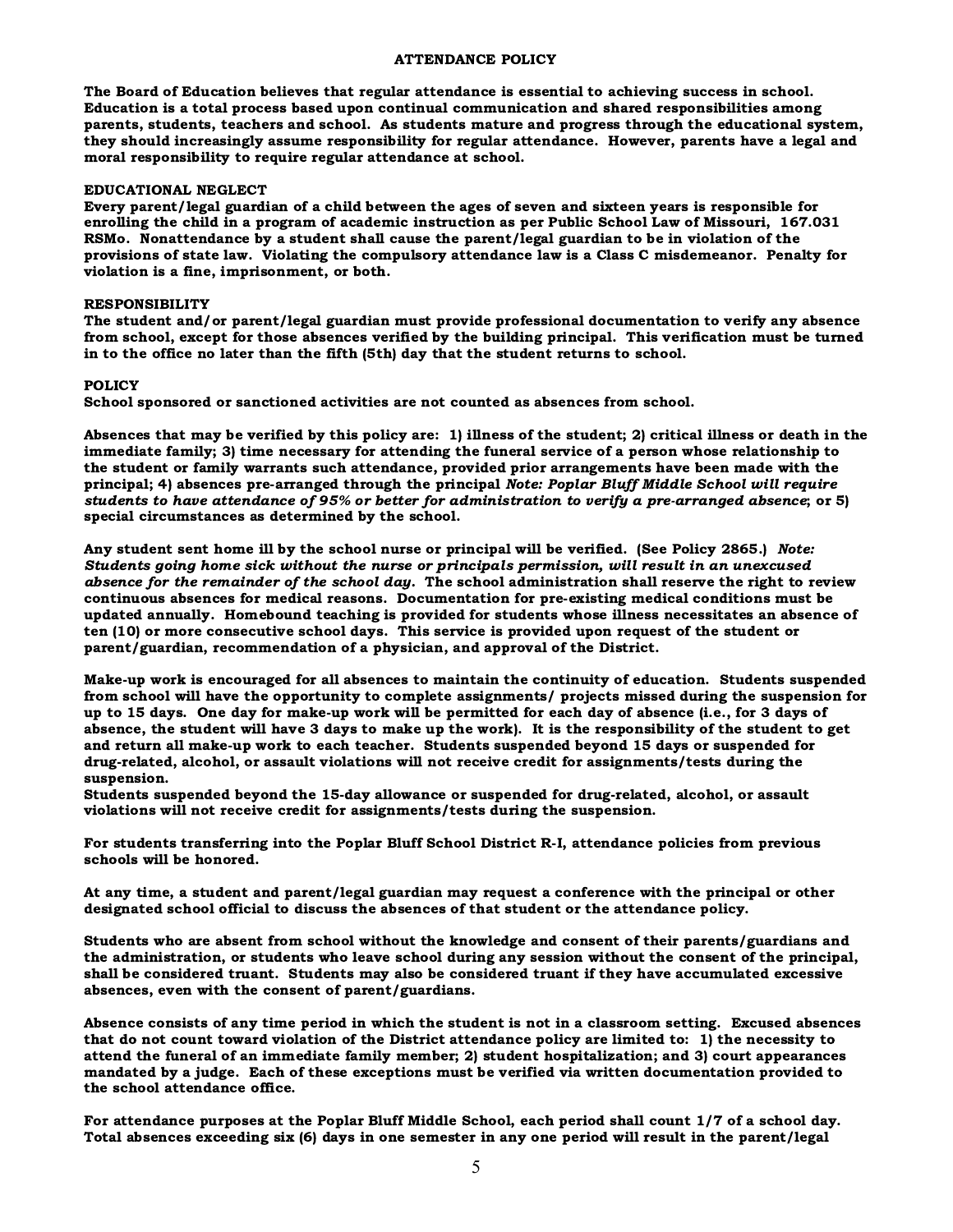#### ATTENDANCE POLICY

The Board of Education believes that regular attendance is essential to achieving success in school. Education is a total process based upon continual communication and shared responsibilities among parents, students, teachers and school. As students mature and progress through the educational system, they should increasingly assume responsibility for regular attendance. However, parents have a legal and moral responsibility to require regular attendance at school.

#### EDUCATIONAL NEGLECT

Every parent/legal guardian of a child between the ages of seven and sixteen years is responsible for enrolling the child in a program of academic instruction as per Public School Law of Missouri, 167.031 RSMo. Nonattendance by a student shall cause the parent/legal guardian to be in violation of the provisions of state law. Violating the compulsory attendance law is a Class C misdemeanor. Penalty for violation is a fine, imprisonment, or both.

#### RESPONSIBILITY

The student and/or parent/legal guardian must provide professional documentation to verify any absence from school, except for those absences verified by the building principal. This verification must be turned in to the office no later than the fifth (5th) day that the student returns to school.

#### POLICY

School sponsored or sanctioned activities are not counted as absences from school.

Absences that may be verified by this policy are: 1) illness of the student; 2) critical illness or death in the immediate family; 3) time necessary for attending the funeral service of a person whose relationship to the student or family warrants such attendance, provided prior arrangements have been made with the principal; 4) absences pre-arranged through the principal Note: Poplar Bluff Middle School will require students to have attendance of 95% or better for administration to verify a pre-arranged absence; or 5) special circumstances as determined by the school.

Any student sent home ill by the school nurse or principal will be verified. (See Policy 2865.) Note: Students going home sick without the nurse or principals permission, will result in an unexcused absence for the remainder of the school day. The school administration shall reserve the right to review continuous absences for medical reasons. Documentation for pre-existing medical conditions must be updated annually. Homebound teaching is provided for students whose illness necessitates an absence of ten (10) or more consecutive school days. This service is provided upon request of the student or parent/guardian, recommendation of a physician, and approval of the District.

Make-up work is encouraged for all absences to maintain the continuity of education. Students suspended from school will have the opportunity to complete assignments/ projects missed during the suspension for up to 15 days. One day for make-up work will be permitted for each day of absence (i.e., for 3 days of absence, the student will have 3 days to make up the work). It is the responsibility of the student to get and return all make-up work to each teacher. Students suspended beyond 15 days or suspended for drug-related, alcohol, or assault violations will not receive credit for assignments/tests during the suspension.

Students suspended beyond the 15-day allowance or suspended for drug-related, alcohol, or assault violations will not receive credit for assignments/tests during the suspension.

For students transferring into the Poplar Bluff School District R-I, attendance policies from previous schools will be honored.

At any time, a student and parent/legal guardian may request a conference with the principal or other designated school official to discuss the absences of that student or the attendance policy.

Students who are absent from school without the knowledge and consent of their parents/guardians and the administration, or students who leave school during any session without the consent of the principal, shall be considered truant. Students may also be considered truant if they have accumulated excessive absences, even with the consent of parent/guardians.

Absence consists of any time period in which the student is not in a classroom setting. Excused absences that do not count toward violation of the District attendance policy are limited to: 1) the necessity to attend the funeral of an immediate family member; 2) student hospitalization; and 3) court appearances mandated by a judge. Each of these exceptions must be verified via written documentation provided to the school attendance office.

For attendance purposes at the Poplar Bluff Middle School, each period shall count 1/7 of a school day. Total absences exceeding six (6) days in one semester in any one period will result in the parent/legal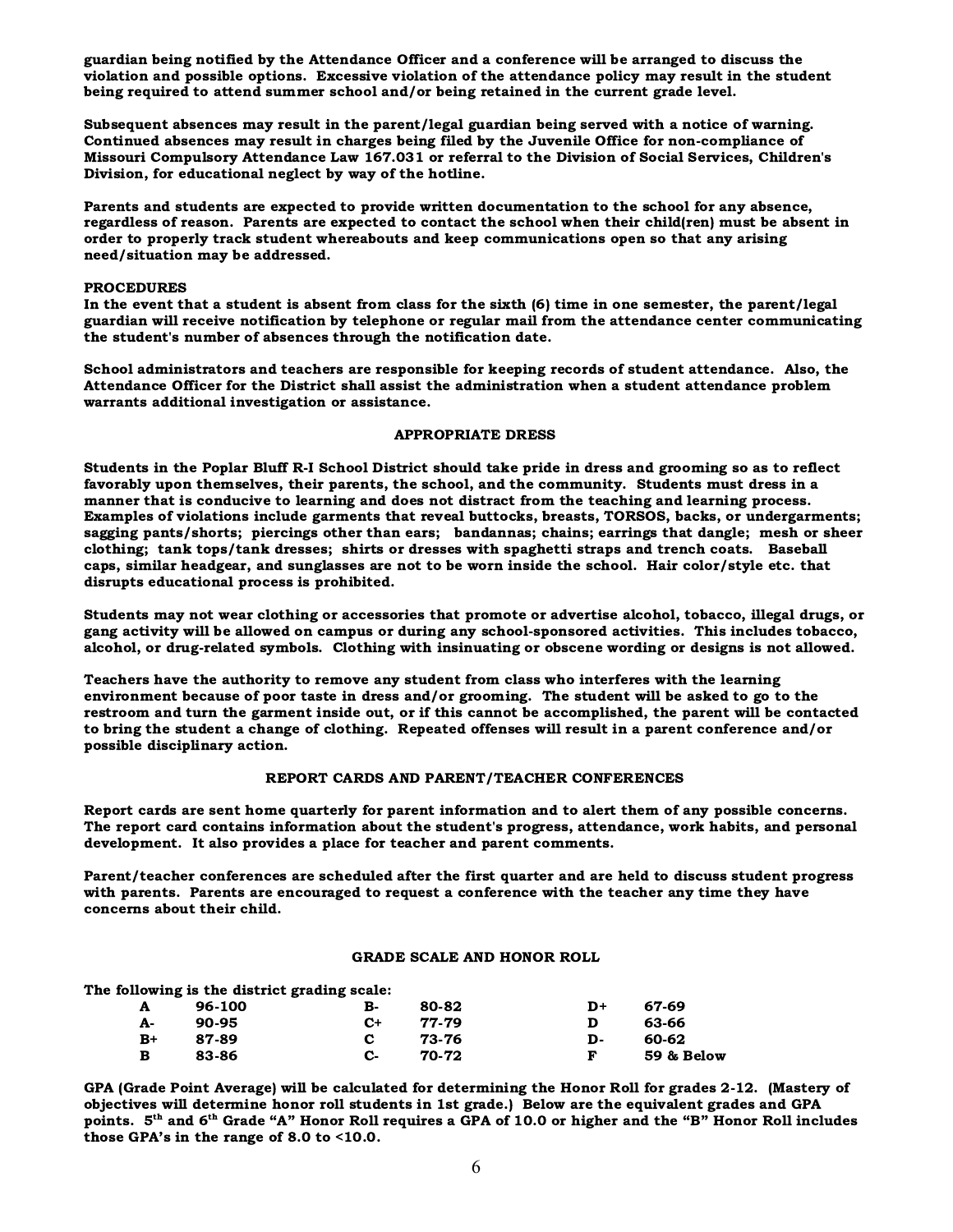guardian being notified by the Attendance Officer and a conference will be arranged to discuss the violation and possible options. Excessive violation of the attendance policy may result in the student being required to attend summer school and/or being retained in the current grade level.

Subsequent absences may result in the parent/legal guardian being served with a notice of warning. Continued absences may result in charges being filed by the Juvenile Office for non-compliance of Missouri Compulsory Attendance Law 167.031 or referral to the Division of Social Services, Children's Division, for educational neglect by way of the hotline.

Parents and students are expected to provide written documentation to the school for any absence, regardless of reason. Parents are expected to contact the school when their child(ren) must be absent in order to properly track student whereabouts and keep communications open so that any arising need/situation may be addressed.

#### PROCEDURES

In the event that a student is absent from class for the sixth (6) time in one semester, the parent/legal guardian will receive notification by telephone or regular mail from the attendance center communicating the student's number of absences through the notification date.

School administrators and teachers are responsible for keeping records of student attendance. Also, the Attendance Officer for the District shall assist the administration when a student attendance problem warrants additional investigation or assistance.

#### APPROPRIATE DRESS

Students in the Poplar Bluff R-I School District should take pride in dress and grooming so as to reflect favorably upon themselves, their parents, the school, and the community. Students must dress in a manner that is conducive to learning and does not distract from the teaching and learning process. Examples of violations include garments that reveal buttocks, breasts, TORSOS, backs, or undergarments; sagging pants/shorts; piercings other than ears; bandannas; chains; earrings that dangle; mesh or sheer clothing; tank tops/tank dresses; shirts or dresses with spaghetti straps and trench coats. Baseball caps, similar headgear, and sunglasses are not to be worn inside the school. Hair color/style etc. that disrupts educational process is prohibited.

Students may not wear clothing or accessories that promote or advertise alcohol, tobacco, illegal drugs, or gang activity will be allowed on campus or during any school-sponsored activities. This includes tobacco, alcohol, or drug-related symbols. Clothing with insinuating or obscene wording or designs is not allowed.

Teachers have the authority to remove any student from class who interferes with the learning environment because of poor taste in dress and/or grooming. The student will be asked to go to the restroom and turn the garment inside out, or if this cannot be accomplished, the parent will be contacted to bring the student a change of clothing. Repeated offenses will result in a parent conference and/or possible disciplinary action.

#### REPORT CARDS AND PARENT/TEACHER CONFERENCES

Report cards are sent home quarterly for parent information and to alert them of any possible concerns. The report card contains information about the student's progress, attendance, work habits, and personal development. It also provides a place for teacher and parent comments.

Parent/teacher conferences are scheduled after the first quarter and are held to discuss student progress with parents. Parents are encouraged to request a conference with the teacher any time they have concerns about their child.

#### GRADE SCALE AND HONOR ROLL

The following is the district grading scale:

|      |        | _ | --   |       |    |            |
|------|--------|---|------|-------|----|------------|
| A    | 96-100 |   | в-   | 80-82 | D+ | 67-69      |
| А-   | 90-95  |   | $C+$ | 77-79 |    | 63-66      |
| $B+$ | 87-89  |   | C.   | 73-76 | D- | 60-62      |
| в    | 83-86  |   | С-   | 70-72 |    | 59 & Below |

GPA (Grade Point Average) will be calculated for determining the Honor Roll for grades 2-12. (Mastery of objectives will determine honor roll students in 1st grade.) Below are the equivalent grades and GPA points.  $5<sup>th</sup>$  and  $6<sup>th</sup>$  Grade "A" Honor Roll requires a GPA of 10.0 or higher and the "B" Honor Roll includes those GPA's in the range of 8.0 to <10.0.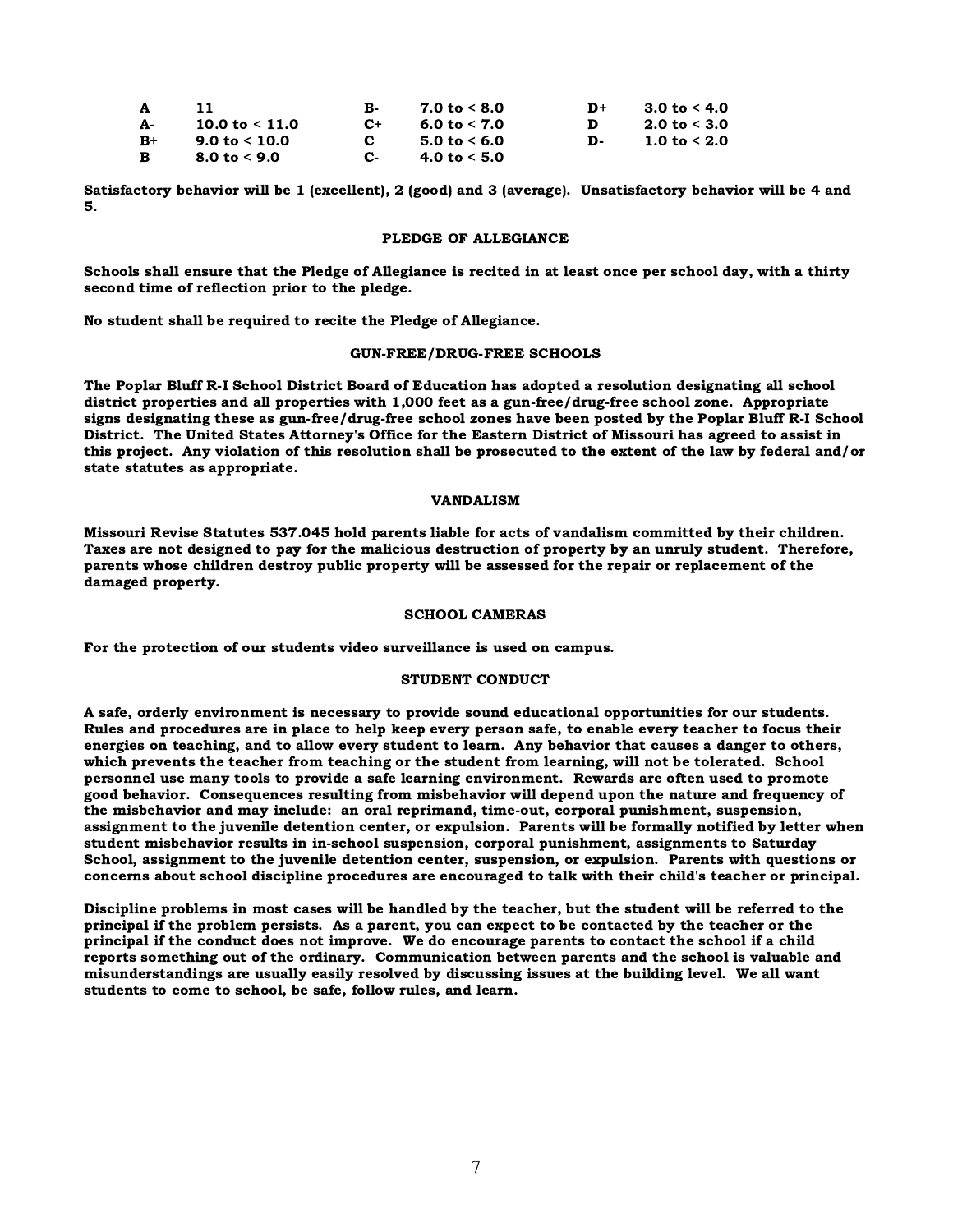| A          |                  | в.           | $7.0 \text{ to } 5.0$ | D+ | 3.0 to $<$ 4.0 |
|------------|------------------|--------------|-----------------------|----|----------------|
| <b>A</b> - | 10.0 to $< 11.0$ | $C+$         | 6.0 to $< 7.0$        | D. | 2.0 to $<$ 3.0 |
| $B+$       | 9.0 to $< 10.0$  | $\mathbf{c}$ | 5.0 to $<$ 6.0        | D- | 1.0 to $< 2.0$ |
| B          | 8.0 to $<$ 9.0   | C-           | 4.0 to $< 5.0$        |    |                |

Satisfactory behavior will be 1 (excellent), 2 (good) and 3 (average). Unsatisfactory behavior will be 4 and 5.

#### PLEDGE OF ALLEGIANCE

Schools shall ensure that the Pledge of Allegiance is recited in at least once per school day, with a thirty second time of reflection prior to the pledge.

No student shall be required to recite the Pledge of Allegiance.

#### GUN-FREE/DRUG-FREE SCHOOLS

The Poplar Bluff R-I School District Board of Education has adopted a resolution designating all school district properties and all properties with 1,000 feet as a gun-free/drug-free school zone. Appropriate signs designating these as gun-free/drug-free school zones have been posted by the Poplar Bluff R-I School District. The United States Attorney's Office for the Eastern District of Missouri has agreed to assist in this project. Any violation of this resolution shall be prosecuted to the extent of the law by federal and/or state statutes as appropriate.

#### VANDALISM

Missouri Revise Statutes 537.045 hold parents liable for acts of vandalism committed by their children. Taxes are not designed to pay for the malicious destruction of property by an unruly student. Therefore, parents whose children destroy public property will be assessed for the repair or replacement of the damaged property.

#### SCHOOL CAMERAS

For the protection of our students video surveillance is used on campus.

#### STUDENT CONDUCT

A safe, orderly environment is necessary to provide sound educational opportunities for our students. Rules and procedures are in place to help keep every person safe, to enable every teacher to focus their energies on teaching, and to allow every student to learn. Any behavior that causes a danger to others, which prevents the teacher from teaching or the student from learning, will not be tolerated. School personnel use many tools to provide a safe learning environment. Rewards are often used to promote good behavior. Consequences resulting from misbehavior will depend upon the nature and frequency of the misbehavior and may include: an oral reprimand, time-out, corporal punishment, suspension, assignment to the juvenile detention center, or expulsion. Parents will be formally notified by letter when student misbehavior results in in-school suspension, corporal punishment, assignments to Saturday School, assignment to the juvenile detention center, suspension, or expulsion. Parents with questions or concerns about school discipline procedures are encouraged to talk with their child's teacher or principal.

Discipline problems in most cases will be handled by the teacher, but the student will be referred to the principal if the problem persists. As a parent, you can expect to be contacted by the teacher or the principal if the conduct does not improve. We do encourage parents to contact the school if a child reports something out of the ordinary. Communication between parents and the school is valuable and misunderstandings are usually easily resolved by discussing issues at the building level. We all want students to come to school, be safe, follow rules, and learn.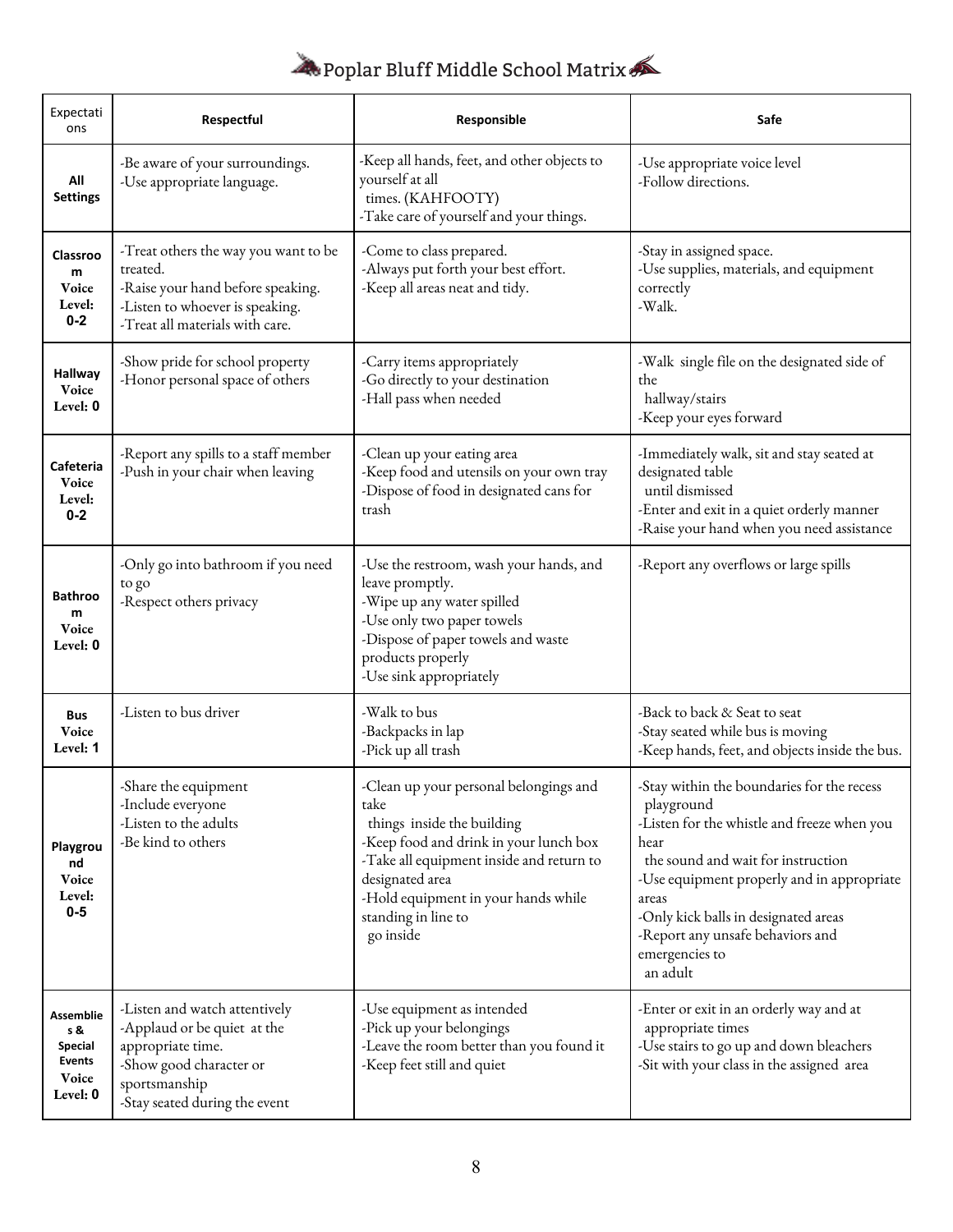## Poplar Bluff Middle School Matrix

| Expectati<br>ons                                                  | Respectful                                                                                                                                                     | Responsible                                                                                                                                                                                                                                                      | Safe                                                                                                                                                                                                                                                                                                                   |  |
|-------------------------------------------------------------------|----------------------------------------------------------------------------------------------------------------------------------------------------------------|------------------------------------------------------------------------------------------------------------------------------------------------------------------------------------------------------------------------------------------------------------------|------------------------------------------------------------------------------------------------------------------------------------------------------------------------------------------------------------------------------------------------------------------------------------------------------------------------|--|
| All<br>Settings                                                   | -Be aware of your surroundings.<br>-Use appropriate language.                                                                                                  | -Keep all hands, feet, and other objects to<br>yourself at all<br>times. (KAHFOOTY)<br>-Take care of yourself and your things.                                                                                                                                   | -Use appropriate voice level<br>-Follow directions.                                                                                                                                                                                                                                                                    |  |
| Classroo<br>m<br><b>Voice</b><br>Level:<br>$0 - 2$                | -Treat others the way you want to be<br>treated.<br>-Raise your hand before speaking.<br>-Listen to whoever is speaking.<br>-Treat all materials with care.    | -Come to class prepared.<br>-Always put forth your best effort.<br>-Keep all areas neat and tidy.                                                                                                                                                                | -Stay in assigned space.<br>-Use supplies, materials, and equipment<br>correctly<br>-Walk.                                                                                                                                                                                                                             |  |
| <b>Hallway</b><br><b>Voice</b><br>Level: 0                        | -Show pride for school property<br>-Honor personal space of others                                                                                             | -Carry items appropriately<br>-Go directly to your destination<br>-Hall pass when needed                                                                                                                                                                         | -Walk single file on the designated side of<br>the<br>hallway/stairs<br>-Keep your eyes forward                                                                                                                                                                                                                        |  |
| Cafeteria<br>Voice<br>Level:<br>$0 - 2$                           | -Report any spills to a staff member<br>-Push in your chair when leaving                                                                                       | -Clean up your eating area<br>-Keep food and utensils on your own tray<br>-Dispose of food in designated cans for<br>trash                                                                                                                                       | -Immediately walk, sit and stay seated at<br>designated table<br>until dismissed<br>-Enter and exit in a quiet orderly manner<br>-Raise your hand when you need assistance                                                                                                                                             |  |
| <b>Bathroo</b><br>m<br>Voice<br>Level: 0                          | -Only go into bathroom if you need<br>to go<br>-Respect others privacy                                                                                         | -Use the restroom, wash your hands, and<br>leave promptly.<br>-Wipe up any water spilled<br>-Use only two paper towels<br>-Dispose of paper towels and waste<br>products properly<br>-Use sink appropriately                                                     | -Report any overflows or large spills                                                                                                                                                                                                                                                                                  |  |
| <b>Bus</b><br>Voice<br>Level: 1                                   | -Listen to bus driver                                                                                                                                          | -Walk to bus<br>-Backpacks in lap<br>-Pick up all trash                                                                                                                                                                                                          | -Back to back & Seat to seat<br>-Stay seated while bus is moving<br>-Keep hands, feet, and objects inside the bus.                                                                                                                                                                                                     |  |
| Playgrou<br>nd<br>Voice<br>Level:<br>$0-5$                        | -Share the equipment<br>-Include everyone<br>-Listen to the adults<br>-Be kind to others                                                                       | -Clean up your personal belongings and<br>take<br>things inside the building<br>-Keep food and drink in your lunch box<br>-Take all equipment inside and return to<br>designated area<br>-Hold equipment in your hands while<br>standing in line to<br>go inside | -Stay within the boundaries for the recess<br>playground<br>-Listen for the whistle and freeze when you<br>hear<br>the sound and wait for instruction<br>-Use equipment properly and in appropriate<br>areas<br>-Only kick balls in designated areas<br>-Report any unsafe behaviors and<br>emergencies to<br>an adult |  |
| Assemblie<br>s &<br><b>Special</b><br>Events<br>Voice<br>Level: 0 | -Listen and watch attentively<br>-Applaud or be quiet at the<br>appropriate time.<br>-Show good character or<br>sportsmanship<br>-Stay seated during the event | -Use equipment as intended<br>-Pick up your belongings<br>-Leave the room better than you found it<br>-Keep feet still and quiet                                                                                                                                 | -Enter or exit in an orderly way and at<br>appropriate times<br>-Use stairs to go up and down bleachers<br>-Sit with your class in the assigned area                                                                                                                                                                   |  |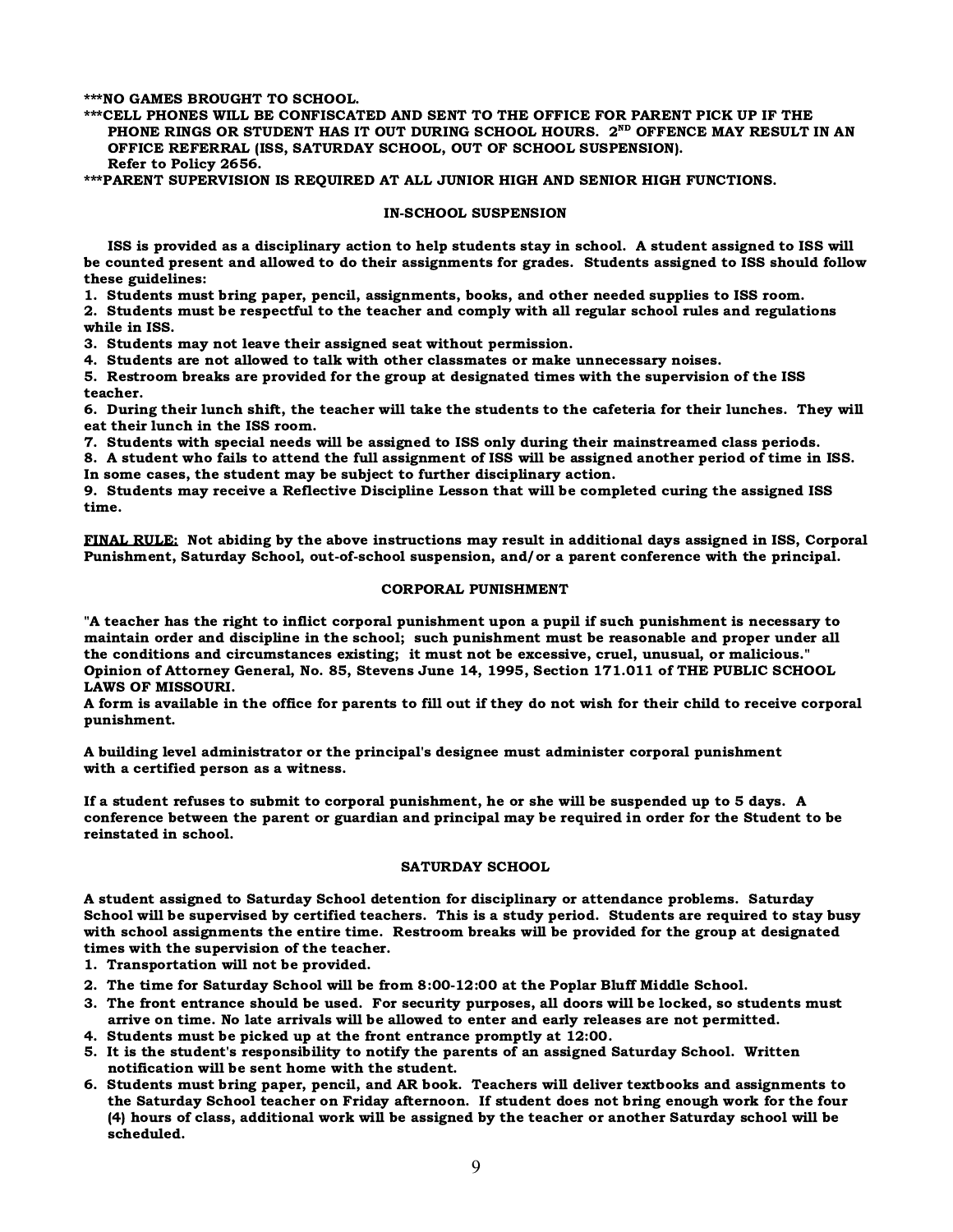\*\*\*NO GAMES BROUGHT TO SCHOOL.

\*\*\*CELL PHONES WILL BE CONFISCATED AND SENT TO THE OFFICE FOR PARENT PICK UP IF THE PHONE RINGS OR STUDENT HAS IT OUT DURING SCHOOL HOURS. 2<sup>ND</sup> OFFENCE MAY RESULT IN AN OFFICE REFERRAL (ISS, SATURDAY SCHOOL, OUT OF SCHOOL SUSPENSION). Refer to Policy 2656.

\*\*\*PARENT SUPERVISION IS REQUIRED AT ALL JUNIOR HIGH AND SENIOR HIGH FUNCTIONS.

#### IN-SCHOOL SUSPENSION

 ISS is provided as a disciplinary action to help students stay in school. A student assigned to ISS will be counted present and allowed to do their assignments for grades. Students assigned to ISS should follow these guidelines:

1. Students must bring paper, pencil, assignments, books, and other needed supplies to ISS room.

2. Students must be respectful to the teacher and comply with all regular school rules and regulations while in ISS.

3. Students may not leave their assigned seat without permission.

4. Students are not allowed to talk with other classmates or make unnecessary noises.

5. Restroom breaks are provided for the group at designated times with the supervision of the ISS teacher.

6. During their lunch shift, the teacher will take the students to the cafeteria for their lunches. They will eat their lunch in the ISS room.

7. Students with special needs will be assigned to ISS only during their mainstreamed class periods.

8. A student who fails to attend the full assignment of ISS will be assigned another period of time in ISS. In some cases, the student may be subject to further disciplinary action.

9. Students may receive a Reflective Discipline Lesson that will be completed curing the assigned ISS time.

FINAL RULE: Not abiding by the above instructions may result in additional days assigned in ISS, Corporal Punishment, Saturday School, out-of-school suspension, and/or a parent conference with the principal.

#### CORPORAL PUNISHMENT

"A teacher has the right to inflict corporal punishment upon a pupil if such punishment is necessary to maintain order and discipline in the school; such punishment must be reasonable and proper under all the conditions and circumstances existing; it must not be excessive, cruel, unusual, or malicious." Opinion of Attorney General, No. 85, Stevens June 14, 1995, Section 171.011 of THE PUBLIC SCHOOL LAWS OF MISSOURI.

A form is available in the office for parents to fill out if they do not wish for their child to receive corporal punishment.

A building level administrator or the principal's designee must administer corporal punishment with a certified person as a witness.

If a student refuses to submit to corporal punishment, he or she will be suspended up to 5 days. A conference between the parent or guardian and principal may be required in order for the Student to be reinstated in school.

#### SATURDAY SCHOOL

A student assigned to Saturday School detention for disciplinary or attendance problems. Saturday School will be supervised by certified teachers. This is a study period. Students are required to stay busy with school assignments the entire time. Restroom breaks will be provided for the group at designated times with the supervision of the teacher.

1. Transportation will not be provided.

- 2. The time for Saturday School will be from 8:00-12:00 at the Poplar Bluff Middle School.
- 3. The front entrance should be used. For security purposes, all doors will be locked, so students must arrive on time. No late arrivals will be allowed to enter and early releases are not permitted.
- 4. Students must be picked up at the front entrance promptly at 12:00.
- 5. It is the student's responsibility to notify the parents of an assigned Saturday School. Written notification will be sent home with the student.
- 6. Students must bring paper, pencil, and AR book. Teachers will deliver textbooks and assignments to the Saturday School teacher on Friday afternoon. If student does not bring enough work for the four (4) hours of class, additional work will be assigned by the teacher or another Saturday school will be scheduled.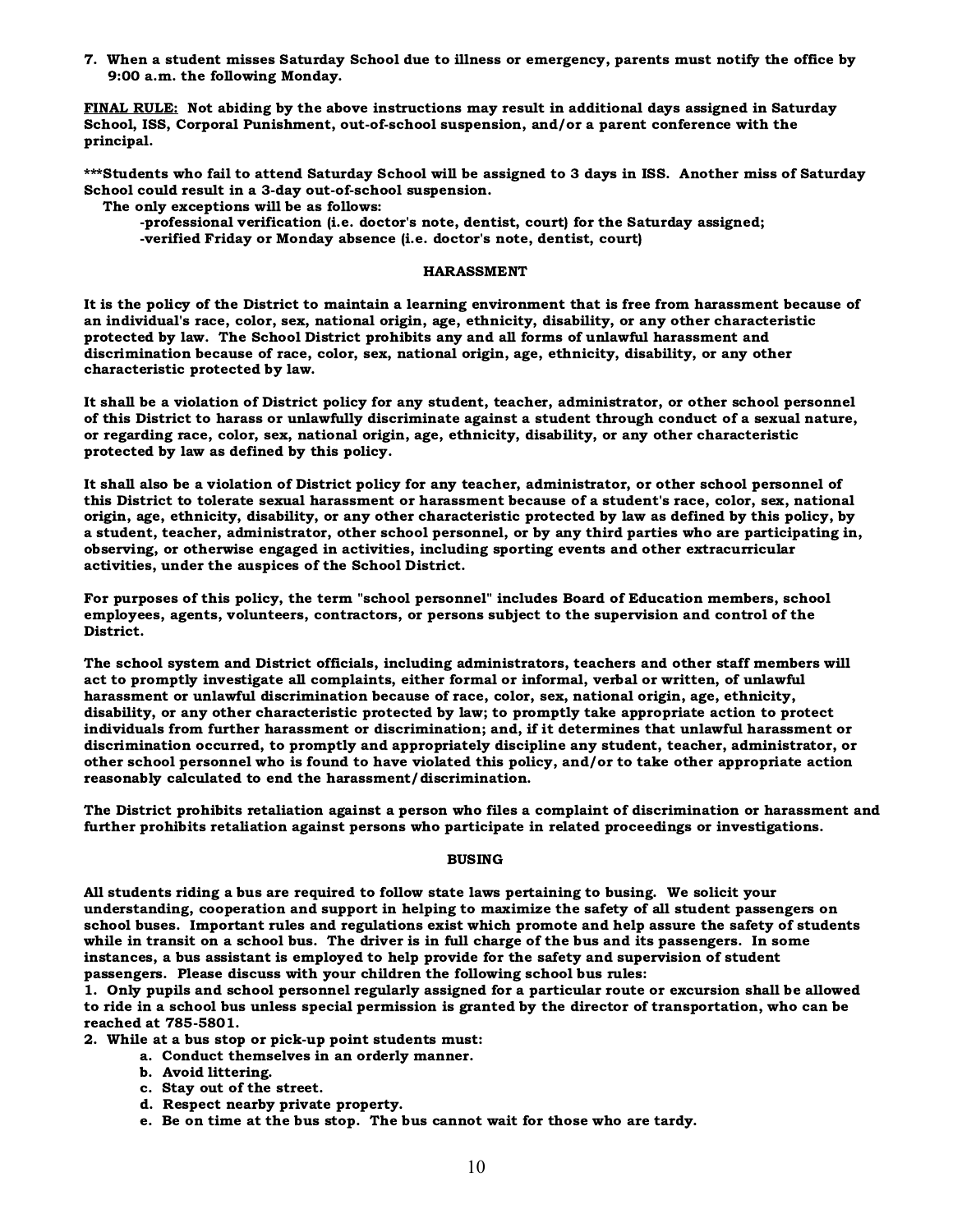7. When a student misses Saturday School due to illness or emergency, parents must notify the office by 9:00 a.m. the following Monday.

FINAL RULE: Not abiding by the above instructions may result in additional days assigned in Saturday School, ISS, Corporal Punishment, out-of-school suspension, and/or a parent conference with the principal.

\*\*\*Students who fail to attend Saturday School will be assigned to 3 days in ISS. Another miss of Saturday School could result in a 3-day out-of-school suspension.

The only exceptions will be as follows:

-professional verification (i.e. doctor's note, dentist, court) for the Saturday assigned; -verified Friday or Monday absence (i.e. doctor's note, dentist, court)

#### HARASSMENT

It is the policy of the District to maintain a learning environment that is free from harassment because of an individual's race, color, sex, national origin, age, ethnicity, disability, or any other characteristic protected by law. The School District prohibits any and all forms of unlawful harassment and discrimination because of race, color, sex, national origin, age, ethnicity, disability, or any other characteristic protected by law.

It shall be a violation of District policy for any student, teacher, administrator, or other school personnel of this District to harass or unlawfully discriminate against a student through conduct of a sexual nature, or regarding race, color, sex, national origin, age, ethnicity, disability, or any other characteristic protected by law as defined by this policy.

It shall also be a violation of District policy for any teacher, administrator, or other school personnel of this District to tolerate sexual harassment or harassment because of a student's race, color, sex, national origin, age, ethnicity, disability, or any other characteristic protected by law as defined by this policy, by a student, teacher, administrator, other school personnel, or by any third parties who are participating in, observing, or otherwise engaged in activities, including sporting events and other extracurricular activities, under the auspices of the School District.

For purposes of this policy, the term "school personnel" includes Board of Education members, school employees, agents, volunteers, contractors, or persons subject to the supervision and control of the District.

The school system and District officials, including administrators, teachers and other staff members will act to promptly investigate all complaints, either formal or informal, verbal or written, of unlawful harassment or unlawful discrimination because of race, color, sex, national origin, age, ethnicity, disability, or any other characteristic protected by law; to promptly take appropriate action to protect individuals from further harassment or discrimination; and, if it determines that unlawful harassment or discrimination occurred, to promptly and appropriately discipline any student, teacher, administrator, or other school personnel who is found to have violated this policy, and/or to take other appropriate action reasonably calculated to end the harassment/discrimination.

The District prohibits retaliation against a person who files a complaint of discrimination or harassment and further prohibits retaliation against persons who participate in related proceedings or investigations.

#### BUSING

All students riding a bus are required to follow state laws pertaining to busing. We solicit your understanding, cooperation and support in helping to maximize the safety of all student passengers on school buses. Important rules and regulations exist which promote and help assure the safety of students while in transit on a school bus. The driver is in full charge of the bus and its passengers. In some instances, a bus assistant is employed to help provide for the safety and supervision of student passengers. Please discuss with your children the following school bus rules:

1. Only pupils and school personnel regularly assigned for a particular route or excursion shall be allowed to ride in a school bus unless special permission is granted by the director of transportation, who can be reached at 785-5801.

2. While at a bus stop or pick-up point students must:

- a. Conduct themselves in an orderly manner.
- b. Avoid littering.
- c. Stay out of the street.
- d. Respect nearby private property.
- e. Be on time at the bus stop. The bus cannot wait for those who are tardy.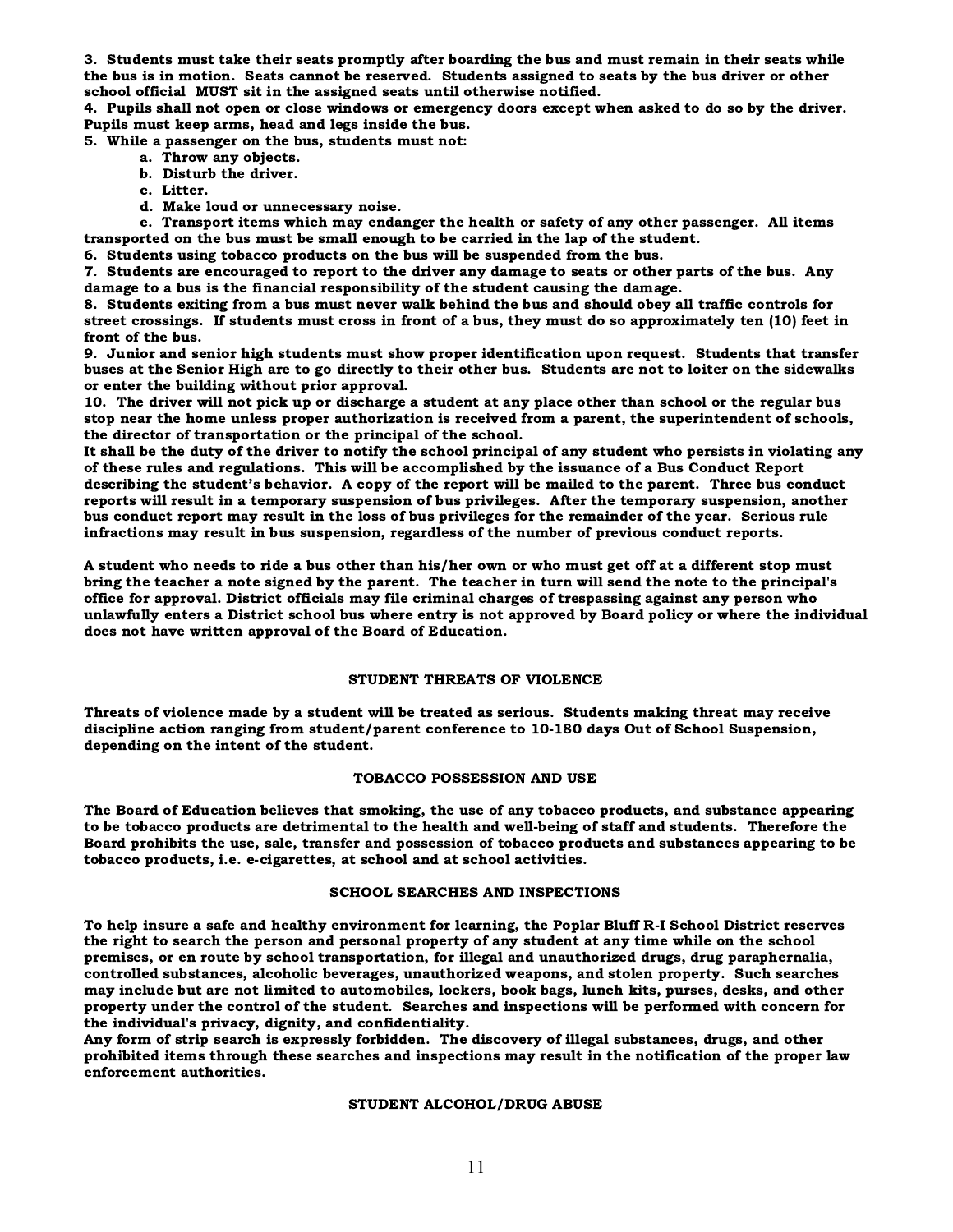3. Students must take their seats promptly after boarding the bus and must remain in their seats while the bus is in motion. Seats cannot be reserved. Students assigned to seats by the bus driver or other school official MUST sit in the assigned seats until otherwise notified.

4. Pupils shall not open or close windows or emergency doors except when asked to do so by the driver. Pupils must keep arms, head and legs inside the bus.

5. While a passenger on the bus, students must not:

- a. Throw any objects.
- b. Disturb the driver.
- c. Litter.
- d. Make loud or unnecessary noise.

e. Transport items which may endanger the health or safety of any other passenger. All items transported on the bus must be small enough to be carried in the lap of the student.

6. Students using tobacco products on the bus will be suspended from the bus.

7. Students are encouraged to report to the driver any damage to seats or other parts of the bus. Any damage to a bus is the financial responsibility of the student causing the damage.

8. Students exiting from a bus must never walk behind the bus and should obey all traffic controls for street crossings. If students must cross in front of a bus, they must do so approximately ten (10) feet in front of the bus.

9. Junior and senior high students must show proper identification upon request. Students that transfer buses at the Senior High are to go directly to their other bus. Students are not to loiter on the sidewalks or enter the building without prior approval.

10. The driver will not pick up or discharge a student at any place other than school or the regular bus stop near the home unless proper authorization is received from a parent, the superintendent of schools, the director of transportation or the principal of the school.

It shall be the duty of the driver to notify the school principal of any student who persists in violating any of these rules and regulations. This will be accomplished by the issuance of a Bus Conduct Report describing the student's behavior. A copy of the report will be mailed to the parent. Three bus conduct reports will result in a temporary suspension of bus privileges. After the temporary suspension, another bus conduct report may result in the loss of bus privileges for the remainder of the year. Serious rule infractions may result in bus suspension, regardless of the number of previous conduct reports.

A student who needs to ride a bus other than his/her own or who must get off at a different stop must bring the teacher a note signed by the parent. The teacher in turn will send the note to the principal's office for approval. District officials may file criminal charges of trespassing against any person who unlawfully enters a District school bus where entry is not approved by Board policy or where the individual does not have written approval of the Board of Education.

#### STUDENT THREATS OF VIOLENCE

Threats of violence made by a student will be treated as serious. Students making threat may receive discipline action ranging from student/parent conference to 10-180 days Out of School Suspension, depending on the intent of the student.

#### TOBACCO POSSESSION AND USE

The Board of Education believes that smoking, the use of any tobacco products, and substance appearing to be tobacco products are detrimental to the health and well-being of staff and students. Therefore the Board prohibits the use, sale, transfer and possession of tobacco products and substances appearing to be tobacco products, i.e. e-cigarettes, at school and at school activities.

#### SCHOOL SEARCHES AND INSPECTIONS

To help insure a safe and healthy environment for learning, the Poplar Bluff R-I School District reserves the right to search the person and personal property of any student at any time while on the school premises, or en route by school transportation, for illegal and unauthorized drugs, drug paraphernalia, controlled substances, alcoholic beverages, unauthorized weapons, and stolen property. Such searches may include but are not limited to automobiles, lockers, book bags, lunch kits, purses, desks, and other property under the control of the student. Searches and inspections will be performed with concern for the individual's privacy, dignity, and confidentiality.

Any form of strip search is expressly forbidden. The discovery of illegal substances, drugs, and other prohibited items through these searches and inspections may result in the notification of the proper law enforcement authorities.

#### STUDENT ALCOHOL/DRUG ABUSE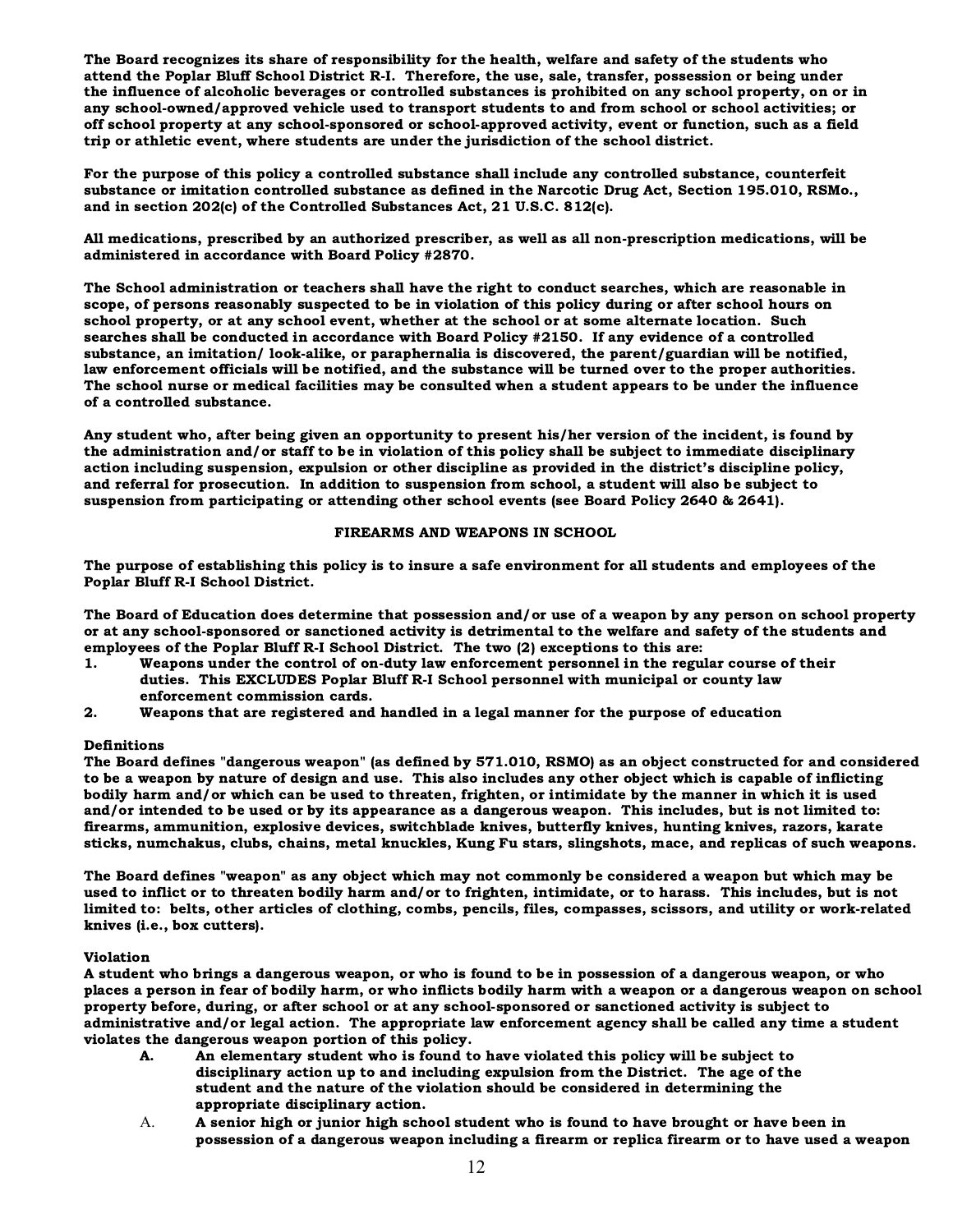The Board recognizes its share of responsibility for the health, welfare and safety of the students who attend the Poplar Bluff School District R-I. Therefore, the use, sale, transfer, possession or being under the influence of alcoholic beverages or controlled substances is prohibited on any school property, on or in any school-owned/approved vehicle used to transport students to and from school or school activities; or off school property at any school-sponsored or school-approved activity, event or function, such as a field trip or athletic event, where students are under the jurisdiction of the school district.

For the purpose of this policy a controlled substance shall include any controlled substance, counterfeit substance or imitation controlled substance as defined in the Narcotic Drug Act, Section 195.010, RSMo., and in section 202(c) of the Controlled Substances Act, 21 U.S.C. 812(c).

All medications, prescribed by an authorized prescriber, as well as all non-prescription medications, will be administered in accordance with Board Policy #2870.

The School administration or teachers shall have the right to conduct searches, which are reasonable in scope, of persons reasonably suspected to be in violation of this policy during or after school hours on school property, or at any school event, whether at the school or at some alternate location. Such searches shall be conducted in accordance with Board Policy #2150. If any evidence of a controlled substance, an imitation/ look-alike, or paraphernalia is discovered, the parent/guardian will be notified, law enforcement officials will be notified, and the substance will be turned over to the proper authorities. The school nurse or medical facilities may be consulted when a student appears to be under the influence of a controlled substance.

Any student who, after being given an opportunity to present his/her version of the incident, is found by the administration and/or staff to be in violation of this policy shall be subject to immediate disciplinary action including suspension, expulsion or other discipline as provided in the district's discipline policy, and referral for prosecution. In addition to suspension from school, a student will also be subject to suspension from participating or attending other school events (see Board Policy 2640 & 2641).

#### FIREARMS AND WEAPONS IN SCHOOL

The purpose of establishing this policy is to insure a safe environment for all students and employees of the Poplar Bluff R-I School District.

The Board of Education does determine that possession and/or use of a weapon by any person on school property or at any school-sponsored or sanctioned activity is detrimental to the welfare and safety of the students and employees of the Poplar Bluff R-I School District. The two (2) exceptions to this are:

- 1. Weapons under the control of on-duty law enforcement personnel in the regular course of their duties. This EXCLUDES Poplar Bluff R-I School personnel with municipal or county law enforcement commission cards.
- 2. Weapons that are registered and handled in a legal manner for the purpose of education

#### Definitions

The Board defines "dangerous weapon" (as defined by 571.010, RSMO) as an object constructed for and considered to be a weapon by nature of design and use. This also includes any other object which is capable of inflicting bodily harm and/or which can be used to threaten, frighten, or intimidate by the manner in which it is used and/or intended to be used or by its appearance as a dangerous weapon. This includes, but is not limited to: firearms, ammunition, explosive devices, switchblade knives, butterfly knives, hunting knives, razors, karate sticks, numchakus, clubs, chains, metal knuckles, Kung Fu stars, slingshots, mace, and replicas of such weapons.

The Board defines "weapon" as any object which may not commonly be considered a weapon but which may be used to inflict or to threaten bodily harm and/or to frighten, intimidate, or to harass. This includes, but is not limited to: belts, other articles of clothing, combs, pencils, files, compasses, scissors, and utility or work-related knives (i.e., box cutters).

#### Violation

A student who brings a dangerous weapon, or who is found to be in possession of a dangerous weapon, or who places a person in fear of bodily harm, or who inflicts bodily harm with a weapon or a dangerous weapon on school property before, during, or after school or at any school-sponsored or sanctioned activity is subject to administrative and/or legal action. The appropriate law enforcement agency shall be called any time a student violates the dangerous weapon portion of this policy.

- A. An elementary student who is found to have violated this policy will be subject to disciplinary action up to and including expulsion from the District. The age of the student and the nature of the violation should be considered in determining the appropriate disciplinary action.
- A. A senior high or junior high school student who is found to have brought or have been in possession of a dangerous weapon including a firearm or replica firearm or to have used a weapon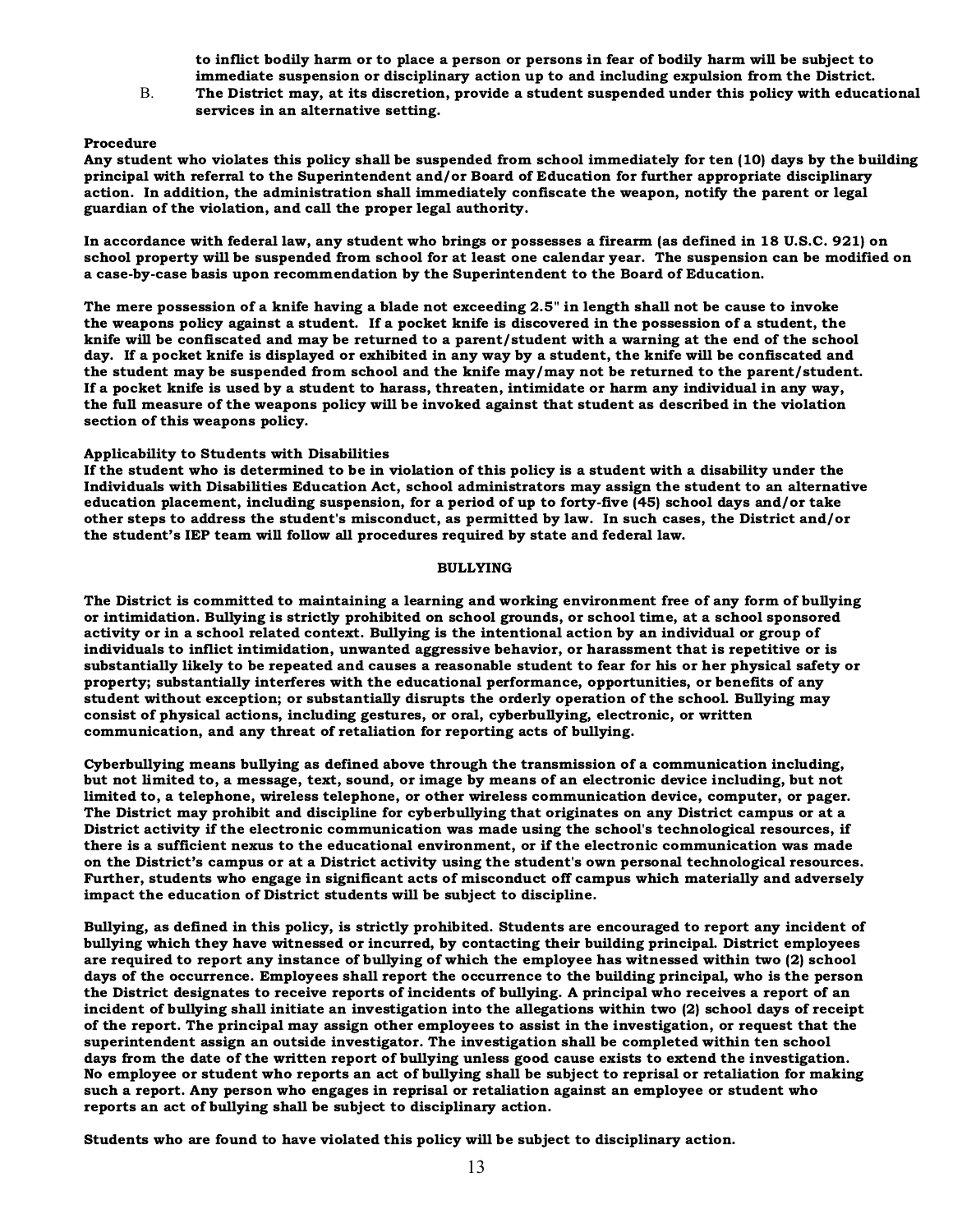to inflict bodily harm or to place a person or persons in fear of bodily harm will be subject to immediate suspension or disciplinary action up to and including expulsion from the District.

B. The District may, at its discretion, provide a student suspended under this policy with educational services in an alternative setting.

#### Procedure

Any student who violates this policy shall be suspended from school immediately for ten (10) days by the building principal with referral to the Superintendent and/or Board of Education for further appropriate disciplinary action. In addition, the administration shall immediately confiscate the weapon, notify the parent or legal guardian of the violation, and call the proper legal authority.

In accordance with federal law, any student who brings or possesses a firearm (as defined in 18 U.S.C. 921) on school property will be suspended from school for at least one calendar year. The suspension can be modified on a case-by-case basis upon recommendation by the Superintendent to the Board of Education.

The mere possession of a knife having a blade not exceeding 2.5" in length shall not be cause to invoke the weapons policy against a student. If a pocket knife is discovered in the possession of a student, the knife will be confiscated and may be returned to a parent/student with a warning at the end of the school day. If a pocket knife is displayed or exhibited in any way by a student, the knife will be confiscated and the student may be suspended from school and the knife may/may not be returned to the parent/student. If a pocket knife is used by a student to harass, threaten, intimidate or harm any individual in any way, the full measure of the weapons policy will be invoked against that student as described in the violation section of this weapons policy.

#### Applicability to Students with Disabilities

If the student who is determined to be in violation of this policy is a student with a disability under the Individuals with Disabilities Education Act, school administrators may assign the student to an alternative education placement, including suspension, for a period of up to forty-five (45) school days and/or take other steps to address the student's misconduct, as permitted by law. In such cases, the District and/or the student's IEP team will follow all procedures required by state and federal law.

#### BULLYING

The District is committed to maintaining a learning and working environment free of any form of bullying or intimidation. Bullying is strictly prohibited on school grounds, or school time, at a school sponsored activity or in a school related context. Bullying is the intentional action by an individual or group of individuals to inflict intimidation, unwanted aggressive behavior, or harassment that is repetitive or is substantially likely to be repeated and causes a reasonable student to fear for his or her physical safety or property; substantially interferes with the educational performance, opportunities, or benefits of any student without exception; or substantially disrupts the orderly operation of the school. Bullying may consist of physical actions, including gestures, or oral, cyberbullying, electronic, or written communication, and any threat of retaliation for reporting acts of bullying.

Cyberbullying means bullying as defined above through the transmission of a communication including, but not limited to, a message, text, sound, or image by means of an electronic device including, but not limited to, a telephone, wireless telephone, or other wireless communication device, computer, or pager. The District may prohibit and discipline for cyberbullying that originates on any District campus or at a District activity if the electronic communication was made using the school's technological resources, if there is a sufficient nexus to the educational environment, or if the electronic communication was made on the District's campus or at a District activity using the student's own personal technological resources. Further, students who engage in significant acts of misconduct off campus which materially and adversely impact the education of District students will be subject to discipline.

Bullying, as defined in this policy, is strictly prohibited. Students are encouraged to report any incident of bullying which they have witnessed or incurred, by contacting their building principal. District employees are required to report any instance of bullying of which the employee has witnessed within two (2) school days of the occurrence. Employees shall report the occurrence to the building principal, who is the person the District designates to receive reports of incidents of bullying. A principal who receives a report of an incident of bullying shall initiate an investigation into the allegations within two (2) school days of receipt of the report. The principal may assign other employees to assist in the investigation, or request that the superintendent assign an outside investigator. The investigation shall be completed within ten school days from the date of the written report of bullying unless good cause exists to extend the investigation. No employee or student who reports an act of bullying shall be subject to reprisal or retaliation for making such a report. Any person who engages in reprisal or retaliation against an employee or student who reports an act of bullying shall be subject to disciplinary action.

Students who are found to have violated this policy will be subject to disciplinary action.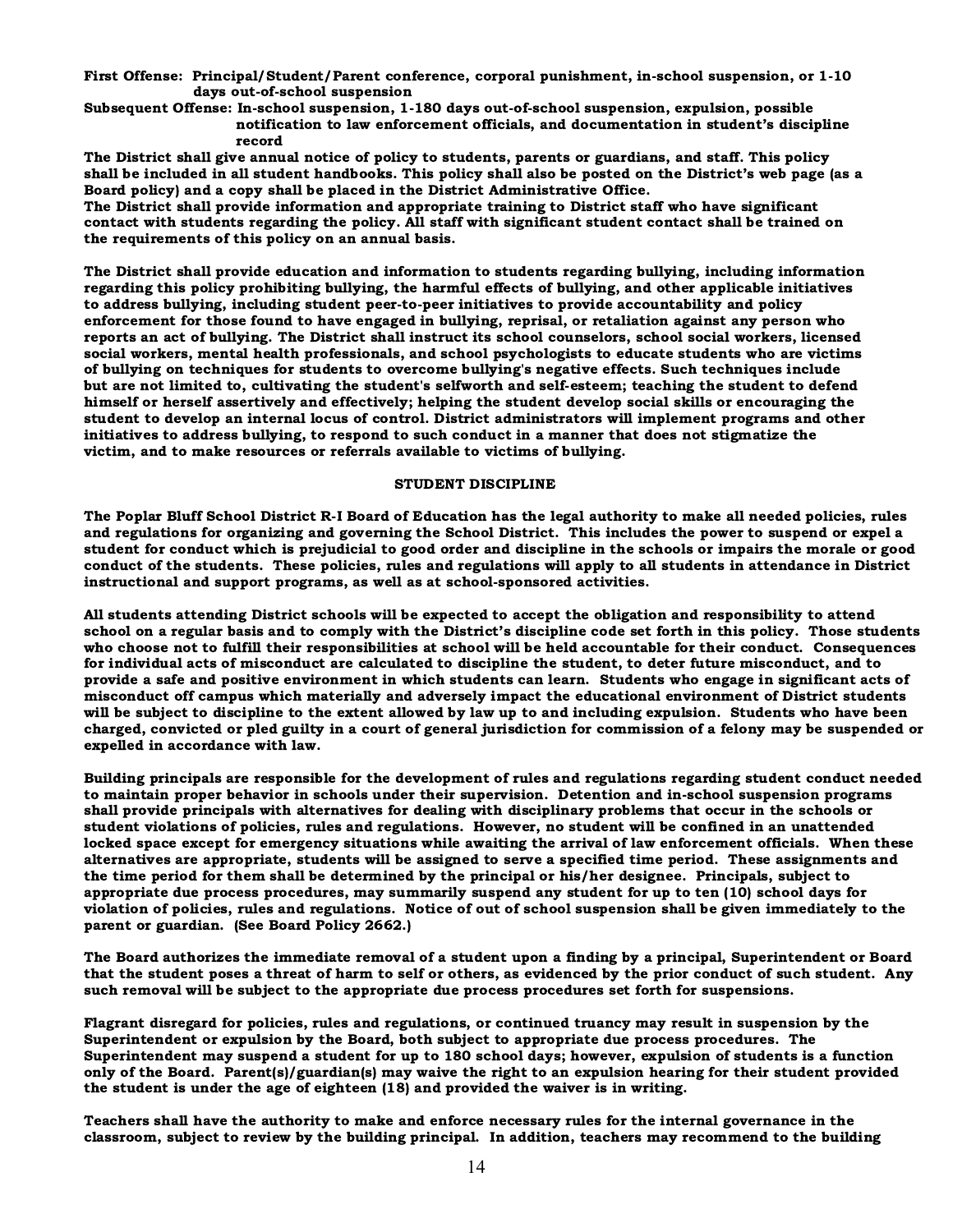First Offense: Principal/Student/Parent conference, corporal punishment, in-school suspension, or 1-10 days out-of-school suspension

Subsequent Offense: In-school suspension, 1-180 days out-of-school suspension, expulsion, possible notification to law enforcement officials, and documentation in student's discipline record

The District shall give annual notice of policy to students, parents or guardians, and staff. This policy shall be included in all student handbooks. This policy shall also be posted on the District's web page (as a Board policy) and a copy shall be placed in the District Administrative Office.

The District shall provide information and appropriate training to District staff who have significant contact with students regarding the policy. All staff with significant student contact shall be trained on the requirements of this policy on an annual basis.

The District shall provide education and information to students regarding bullying, including information regarding this policy prohibiting bullying, the harmful effects of bullying, and other applicable initiatives to address bullying, including student peer-to-peer initiatives to provide accountability and policy enforcement for those found to have engaged in bullying, reprisal, or retaliation against any person who reports an act of bullying. The District shall instruct its school counselors, school social workers, licensed social workers, mental health professionals, and school psychologists to educate students who are victims of bullying on techniques for students to overcome bullying's negative effects. Such techniques include but are not limited to, cultivating the student's selfworth and self-esteem; teaching the student to defend himself or herself assertively and effectively; helping the student develop social skills or encouraging the student to develop an internal locus of control. District administrators will implement programs and other initiatives to address bullying, to respond to such conduct in a manner that does not stigmatize the victim, and to make resources or referrals available to victims of bullying.

#### STUDENT DISCIPLINE

The Poplar Bluff School District R-I Board of Education has the legal authority to make all needed policies, rules and regulations for organizing and governing the School District. This includes the power to suspend or expel a student for conduct which is prejudicial to good order and discipline in the schools or impairs the morale or good conduct of the students. These policies, rules and regulations will apply to all students in attendance in District instructional and support programs, as well as at school-sponsored activities.

All students attending District schools will be expected to accept the obligation and responsibility to attend school on a regular basis and to comply with the District's discipline code set forth in this policy. Those students who choose not to fulfill their responsibilities at school will be held accountable for their conduct. Consequences for individual acts of misconduct are calculated to discipline the student, to deter future misconduct, and to provide a safe and positive environment in which students can learn. Students who engage in significant acts of misconduct off campus which materially and adversely impact the educational environment of District students will be subject to discipline to the extent allowed by law up to and including expulsion. Students who have been charged, convicted or pled guilty in a court of general jurisdiction for commission of a felony may be suspended or expelled in accordance with law.

Building principals are responsible for the development of rules and regulations regarding student conduct needed to maintain proper behavior in schools under their supervision. Detention and in-school suspension programs shall provide principals with alternatives for dealing with disciplinary problems that occur in the schools or student violations of policies, rules and regulations. However, no student will be confined in an unattended locked space except for emergency situations while awaiting the arrival of law enforcement officials. When these alternatives are appropriate, students will be assigned to serve a specified time period. These assignments and the time period for them shall be determined by the principal or his/her designee. Principals, subject to appropriate due process procedures, may summarily suspend any student for up to ten (10) school days for violation of policies, rules and regulations. Notice of out of school suspension shall be given immediately to the parent or guardian. (See Board Policy 2662.)

The Board authorizes the immediate removal of a student upon a finding by a principal, Superintendent or Board that the student poses a threat of harm to self or others, as evidenced by the prior conduct of such student. Any such removal will be subject to the appropriate due process procedures set forth for suspensions.

Flagrant disregard for policies, rules and regulations, or continued truancy may result in suspension by the Superintendent or expulsion by the Board, both subject to appropriate due process procedures. The Superintendent may suspend a student for up to 180 school days; however, expulsion of students is a function only of the Board. Parent(s)/guardian(s) may waive the right to an expulsion hearing for their student provided the student is under the age of eighteen (18) and provided the waiver is in writing.

Teachers shall have the authority to make and enforce necessary rules for the internal governance in the classroom, subject to review by the building principal. In addition, teachers may recommend to the building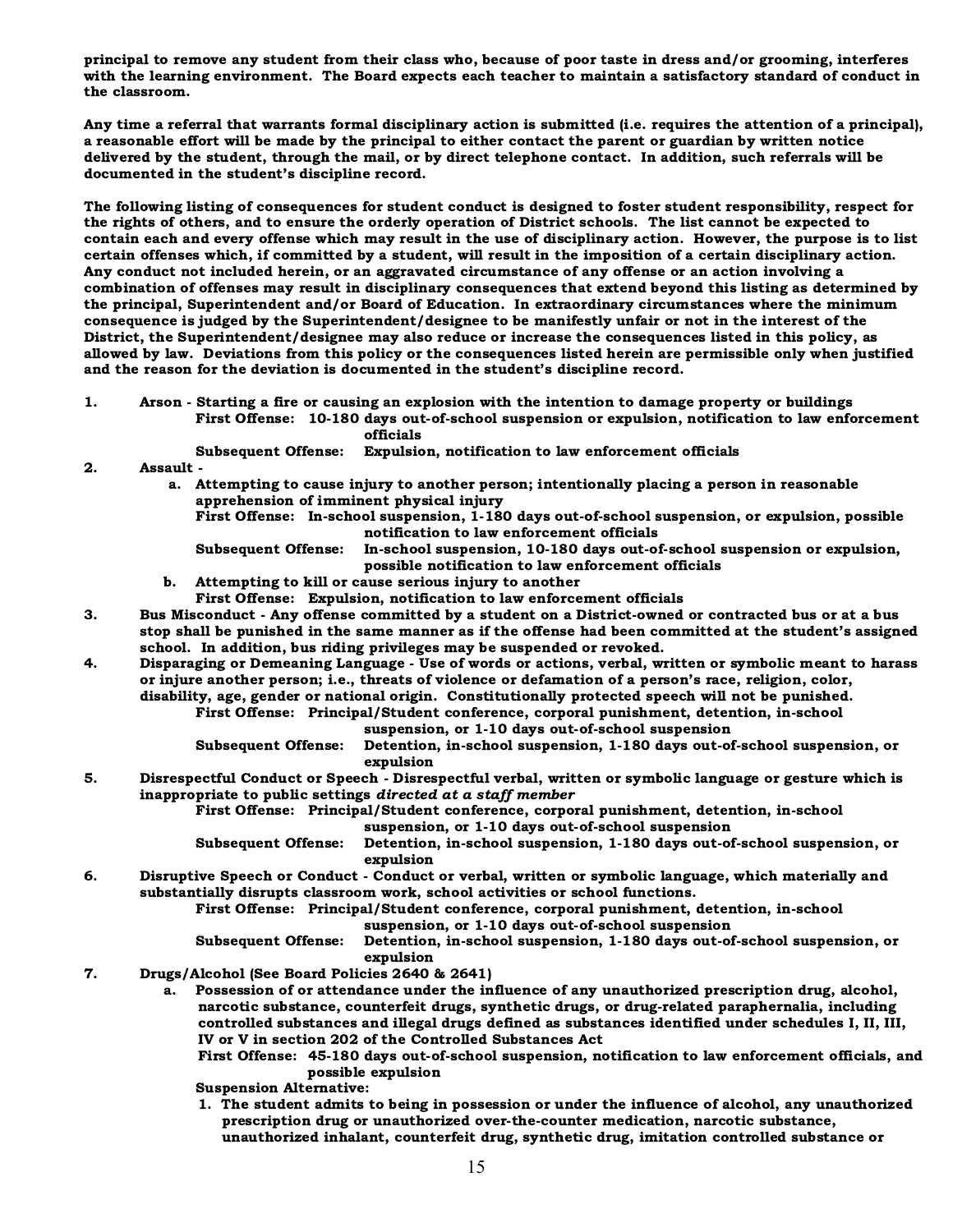principal to remove any student from their class who, because of poor taste in dress and/or grooming, interferes with the learning environment. The Board expects each teacher to maintain a satisfactory standard of conduct in the classroom.

Any time a referral that warrants formal disciplinary action is submitted (i.e. requires the attention of a principal), a reasonable effort will be made by the principal to either contact the parent or guardian by written notice delivered by the student, through the mail, or by direct telephone contact. In addition, such referrals will be documented in the student's discipline record.

The following listing of consequences for student conduct is designed to foster student responsibility, respect for the rights of others, and to ensure the orderly operation of District schools. The list cannot be expected to contain each and every offense which may result in the use of disciplinary action. However, the purpose is to list certain offenses which, if committed by a student, will result in the imposition of a certain disciplinary action. Any conduct not included herein, or an aggravated circumstance of any offense or an action involving a combination of offenses may result in disciplinary consequences that extend beyond this listing as determined by the principal, Superintendent and/or Board of Education. In extraordinary circumstances where the minimum consequence is judged by the Superintendent/designee to be manifestly unfair or not in the interest of the District, the Superintendent/designee may also reduce or increase the consequences listed in this policy, as allowed by law. Deviations from this policy or the consequences listed herein are permissible only when justified and the reason for the deviation is documented in the student's discipline record.

1. Arson - Starting a fire or causing an explosion with the intention to damage property or buildings First Offense: 10-180 days out-of-school suspension or expulsion, notification to law enforcement

officials

Subsequent Offense: Expulsion, notification to law enforcement officials

2. Assault -

 a. Attempting to cause injury to another person; intentionally placing a person in reasonable apprehension of imminent physical injury

First Offense: In-school suspension, 1-180 days out-of-school suspension, or expulsion, possible notification to law enforcement officials

Subsequent Offense: In-school suspension, 10-180 days out-of-school suspension or expulsion, possible notification to law enforcement officials

- b. Attempting to kill or cause serious injury to another
	- First Offense: Expulsion, notification to law enforcement officials
- 3. Bus Misconduct Any offense committed by a student on a District-owned or contracted bus or at a bus stop shall be punished in the same manner as if the offense had been committed at the student's assigned school. In addition, bus riding privileges may be suspended or revoked.
- 4. Disparaging or Demeaning Language Use of words or actions, verbal, written or symbolic meant to harass or injure another person; i.e., threats of violence or defamation of a person's race, religion, color, disability, age, gender or national origin. Constitutionally protected speech will not be punished.

First Offense: Principal/Student conference, corporal punishment, detention, in-school

suspension, or 1-10 days out-of-school suspension

Subsequent Offense: Detention, in-school suspension, 1-180 days out-of-school suspension, or expulsion

5. Disrespectful Conduct or Speech - Disrespectful verbal, written or symbolic language or gesture which is inappropriate to public settings directed at a staff member

First Offense: Principal/Student conference, corporal punishment, detention, in-school suspension, or 1-10 days out-of-school suspension

Subsequent Offense: Detention, in-school suspension, 1-180 days out-of-school suspension, or expulsion

6. Disruptive Speech or Conduct - Conduct or verbal, written or symbolic language, which materially and substantially disrupts classroom work, school activities or school functions.

First Offense: Principal/Student conference, corporal punishment, detention, in-school suspension, or 1-10 days out-of-school suspension

Subsequent Offense: Detention, in-school suspension, 1-180 days out-of-school suspension, or expulsion

- 7. Drugs/Alcohol (See Board Policies 2640 & 2641)
	- a. Possession of or attendance under the influence of any unauthorized prescription drug, alcohol, narcotic substance, counterfeit drugs, synthetic drugs, or drug-related paraphernalia, including controlled substances and illegal drugs defined as substances identified under schedules I, II, III, IV or V in section 202 of the Controlled Substances Act
		- First Offense: 45-180 days out-of-school suspension, notification to law enforcement officials, and possible expulsion

Suspension Alternative:

 1. The student admits to being in possession or under the influence of alcohol, any unauthorized prescription drug or unauthorized over-the-counter medication, narcotic substance, unauthorized inhalant, counterfeit drug, synthetic drug, imitation controlled substance or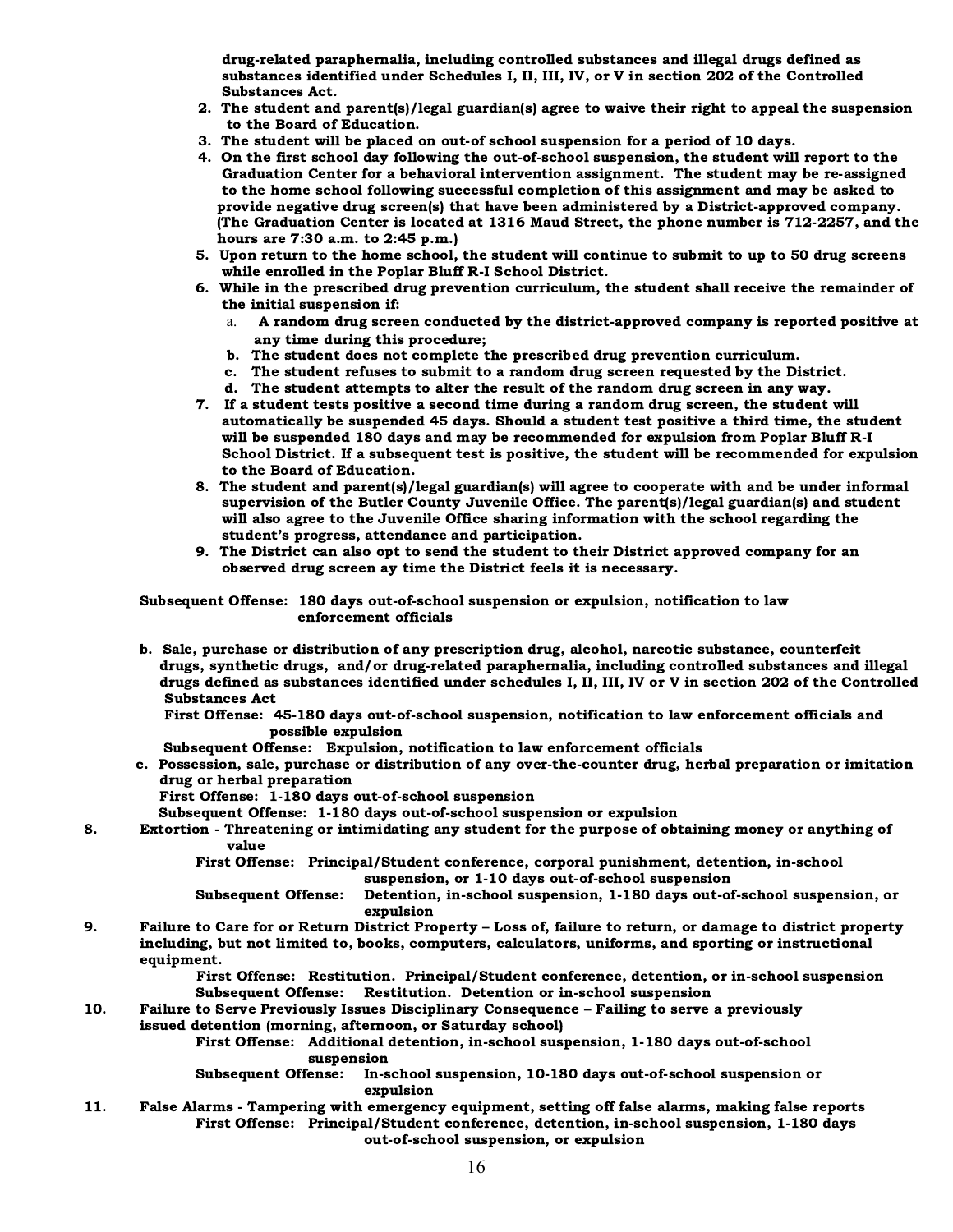drug-related paraphernalia, including controlled substances and illegal drugs defined as substances identified under Schedules I, II, III, IV, or V in section 202 of the Controlled Substances Act.

- 2. The student and parent(s)/legal guardian(s) agree to waive their right to appeal the suspension to the Board of Education.
- 3. The student will be placed on out-of school suspension for a period of 10 days.
- 4. On the first school day following the out-of-school suspension, the student will report to the Graduation Center for a behavioral intervention assignment. The student may be re-assigned to the home school following successful completion of this assignment and may be asked to provide negative drug screen(s) that have been administered by a District-approved company. (The Graduation Center is located at 1316 Maud Street, the phone number is 712-2257, and the hours are 7:30 a.m. to 2:45 p.m.)
- 5. Upon return to the home school, the student will continue to submit to up to 50 drug screens while enrolled in the Poplar Bluff R-I School District.
- 6. While in the prescribed drug prevention curriculum, the student shall receive the remainder of the initial suspension if:
	- a. A random drug screen conducted by the district-approved company is reported positive at any time during this procedure;
	- b. The student does not complete the prescribed drug prevention curriculum.
	- c. The student refuses to submit to a random drug screen requested by the District.
	- d. The student attempts to alter the result of the random drug screen in any way.
- 7. If a student tests positive a second time during a random drug screen, the student will automatically be suspended 45 days. Should a student test positive a third time, the student will be suspended 180 days and may be recommended for expulsion from Poplar Bluff R-I School District. If a subsequent test is positive, the student will be recommended for expulsion to the Board of Education.
- 8. The student and parent(s)/legal guardian(s) will agree to cooperate with and be under informal supervision of the Butler County Juvenile Office. The parent(s)/legal guardian(s) and student will also agree to the Juvenile Office sharing information with the school regarding the student's progress, attendance and participation.
- 9. The District can also opt to send the student to their District approved company for an observed drug screen ay time the District feels it is necessary.

Subsequent Offense: 180 days out-of-school suspension or expulsion, notification to law enforcement officials

- b. Sale, purchase or distribution of any prescription drug, alcohol, narcotic substance, counterfeit drugs, synthetic drugs, and/or drug-related paraphernalia, including controlled substances and illegal drugs defined as substances identified under schedules I, II, III, IV or V in section 202 of the Controlled Substances Act
	- First Offense: 45-180 days out-of-school suspension, notification to law enforcement officials and possible expulsion
	- Subsequent Offense: Expulsion, notification to law enforcement officials
- c. Possession, sale, purchase or distribution of any over-the-counter drug, herbal preparation or imitation drug or herbal preparation
	- First Offense: 1-180 days out-of-school suspension
	- Subsequent Offense: 1-180 days out-of-school suspension or expulsion
- 8. Extortion Threatening or intimidating any student for the purpose of obtaining money or anything of value

First Offense: Principal/Student conference, corporal punishment, detention, in-school suspension, or 1-10 days out-of-school suspension

Subsequent Offense: Detention, in-school suspension, 1-180 days out-of-school suspension, or expulsion

9. Failure to Care for or Return District Property – Loss of, failure to return, or damage to district property including, but not limited to, books, computers, calculators, uniforms, and sporting or instructional equipment.

> First Offense: Restitution. Principal/Student conference, detention, or in-school suspension Subsequent Offense: Restitution. Detention or in-school suspension

#### 10. Failure to Serve Previously Issues Disciplinary Consequence – Failing to serve a previously

issued detention (morning, afternoon, or Saturday school)

First Offense: Additional detention, in-school suspension, 1-180 days out-of-school suspension

Subsequent Offense: In-school suspension, 10-180 days out-of-school suspension or expulsion

11. False Alarms - Tampering with emergency equipment, setting off false alarms, making false reports First Offense: Principal/Student conference, detention, in-school suspension, 1-180 days out-of-school suspension, or expulsion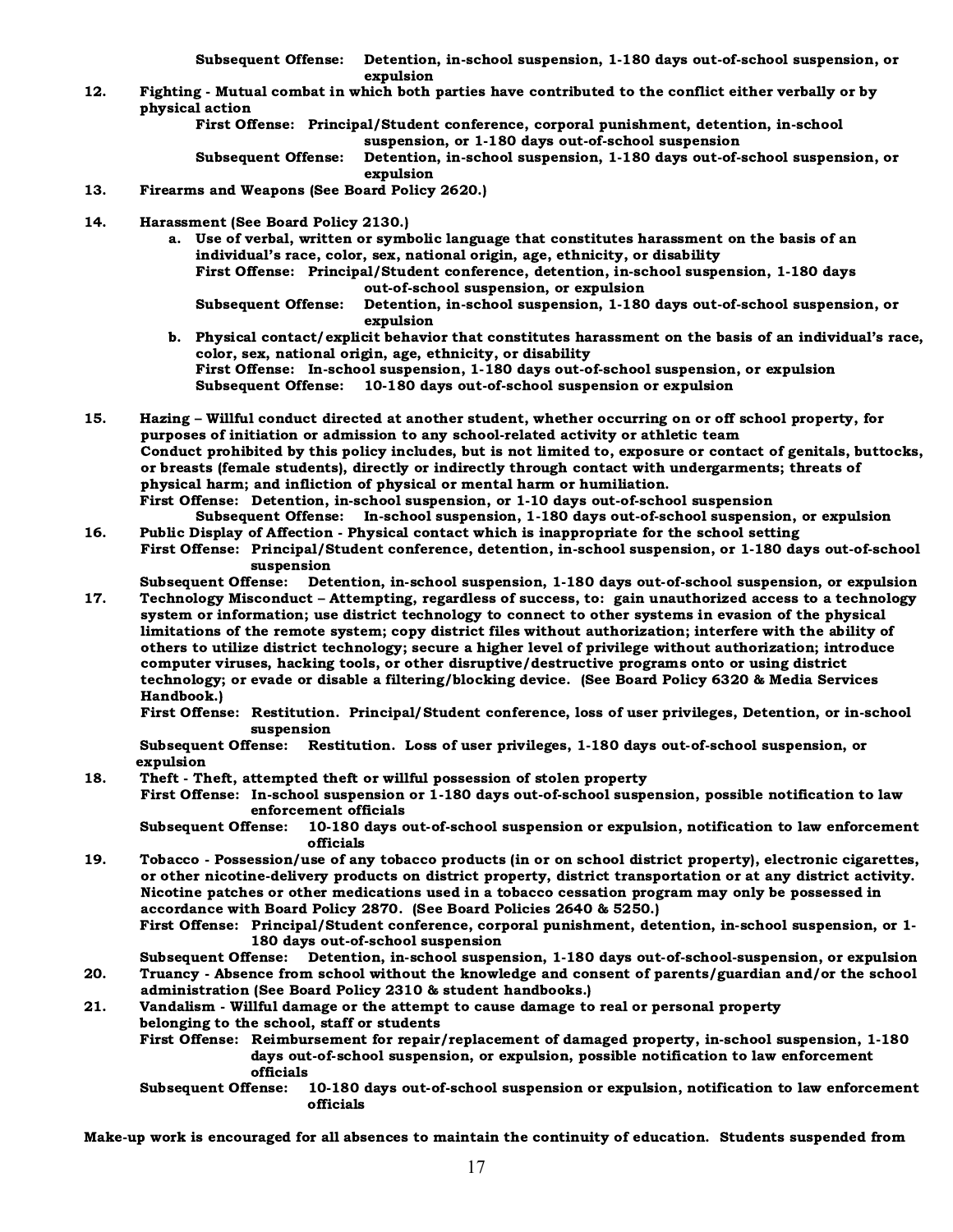Subsequent Offense: Detention, in-school suspension, 1-180 days out-of-school suspension, or expulsion

12. Fighting - Mutual combat in which both parties have contributed to the conflict either verbally or by physical action

> First Offense: Principal/Student conference, corporal punishment, detention, in-school suspension, or 1-180 days out-of-school suspension

Subsequent Offense: Detention, in-school suspension, 1-180 days out-of-school suspension, or expulsion

- 13. Firearms and Weapons (See Board Policy 2620.)
- 14. Harassment (See Board Policy 2130.)
	- a. Use of verbal, written or symbolic language that constitutes harassment on the basis of an individual's race, color, sex, national origin, age, ethnicity, or disability First Offense: Principal/Student conference, detention, in-school suspension, 1-180 days out-of-school suspension, or expulsion Subsequent Offense: Detention, in-school suspension, 1-180 days out-of-school suspension, or expulsion
	- b. Physical contact/explicit behavior that constitutes harassment on the basis of an individual's race, color, sex, national origin, age, ethnicity, or disability First Offense: In-school suspension, 1-180 days out-of-school suspension, or expulsion Subsequent Offense: 10-180 days out-of-school suspension or expulsion
- 15. Hazing Willful conduct directed at another student, whether occurring on or off school property, for purposes of initiation or admission to any school-related activity or athletic team Conduct prohibited by this policy includes, but is not limited to, exposure or contact of genitals, buttocks, or breasts (female students), directly or indirectly through contact with undergarments; threats of physical harm; and infliction of physical or mental harm or humiliation. First Offense: Detention, in-school suspension, or 1-10 days out-of-school suspension Subsequent Offense: In-school suspension, 1-180 days out-of-school suspension, or expulsion
- 16. Public Display of Affection Physical contact which is inappropriate for the school setting First Offense: Principal/Student conference, detention, in-school suspension, or 1-180 days out-of-school suspension

Subsequent Offense: Detention, in-school suspension, 1-180 days out-of-school suspension, or expulsion

17. Technology Misconduct – Attempting, regardless of success, to: gain unauthorized access to a technology system or information; use district technology to connect to other systems in evasion of the physical limitations of the remote system; copy district files without authorization; interfere with the ability of others to utilize district technology; secure a higher level of privilege without authorization; introduce computer viruses, hacking tools, or other disruptive/destructive programs onto or using district technology; or evade or disable a filtering/blocking device. (See Board Policy 6320 & Media Services Handbook.)

 First Offense: Restitution. Principal/Student conference, loss of user privileges, Detention, or in-school suspension

Subsequent Offense: Restitution. Loss of user privileges, 1-180 days out-of-school suspension, or expulsion

18. Theft - Theft, attempted theft or willful possession of stolen property

 First Offense: In-school suspension or 1-180 days out-of-school suspension, possible notification to law enforcement officials

Subsequent Offense: 10-180 days out-of-school suspension or expulsion, notification to law enforcement officials

19. Tobacco - Possession/use of any tobacco products (in or on school district property), electronic cigarettes, or other nicotine-delivery products on district property, district transportation or at any district activity. Nicotine patches or other medications used in a tobacco cessation program may only be possessed in accordance with Board Policy 2870. (See Board Policies 2640 & 5250.)

First Offense: Principal/Student conference, corporal punishment, detention, in-school suspension, or 1- 180 days out-of-school suspension

Subsequent Offense: Detention, in-school suspension, 1-180 days out-of-school-suspension, or expulsion 20. Truancy - Absence from school without the knowledge and consent of parents/guardian and/or the school administration (See Board Policy 2310 & student handbooks.)

21. Vandalism - Willful damage or the attempt to cause damage to real or personal property belonging to the school, staff or students

First Offense: Reimbursement for repair/replacement of damaged property, in-school suspension, 1-180 days out-of-school suspension, or expulsion, possible notification to law enforcement officials

Subsequent Offense: 10-180 days out-of-school suspension or expulsion, notification to law enforcement officials

Make-up work is encouraged for all absences to maintain the continuity of education. Students suspended from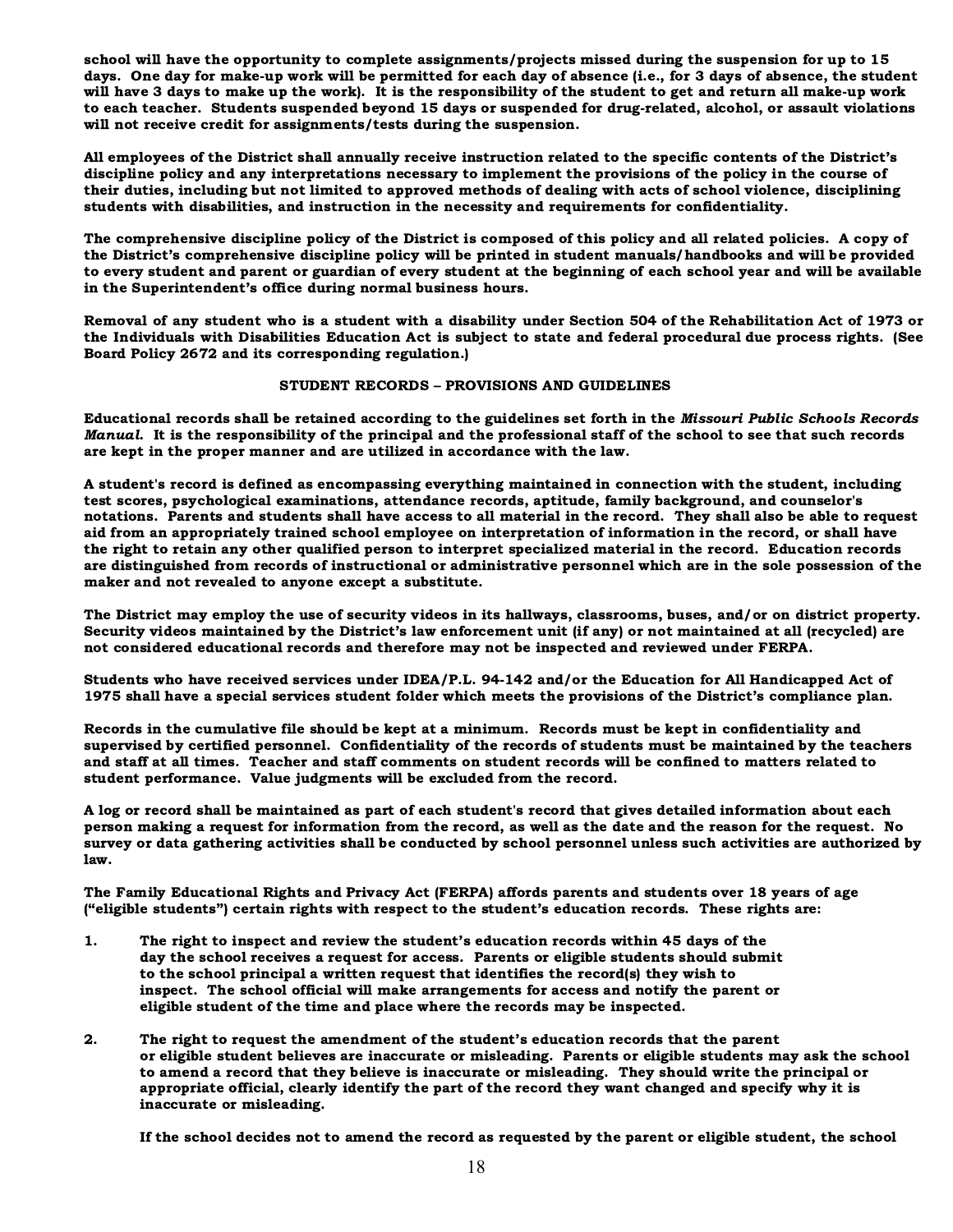school will have the opportunity to complete assignments/projects missed during the suspension for up to 15 days. One day for make-up work will be permitted for each day of absence (i.e., for 3 days of absence, the student will have 3 days to make up the work). It is the responsibility of the student to get and return all make-up work to each teacher. Students suspended beyond 15 days or suspended for drug-related, alcohol, or assault violations will not receive credit for assignments/tests during the suspension.

All employees of the District shall annually receive instruction related to the specific contents of the District's discipline policy and any interpretations necessary to implement the provisions of the policy in the course of their duties, including but not limited to approved methods of dealing with acts of school violence, disciplining students with disabilities, and instruction in the necessity and requirements for confidentiality.

The comprehensive discipline policy of the District is composed of this policy and all related policies. A copy of the District's comprehensive discipline policy will be printed in student manuals/handbooks and will be provided to every student and parent or guardian of every student at the beginning of each school year and will be available in the Superintendent's office during normal business hours.

Removal of any student who is a student with a disability under Section 504 of the Rehabilitation Act of 1973 or the Individuals with Disabilities Education Act is subject to state and federal procedural due process rights. (See Board Policy 2672 and its corresponding regulation.)

#### STUDENT RECORDS – PROVISIONS AND GUIDELINES

Educational records shall be retained according to the guidelines set forth in the Missouri Public Schools Records Manual. It is the responsibility of the principal and the professional staff of the school to see that such records are kept in the proper manner and are utilized in accordance with the law.

A student's record is defined as encompassing everything maintained in connection with the student, including test scores, psychological examinations, attendance records, aptitude, family background, and counselor's notations. Parents and students shall have access to all material in the record. They shall also be able to request aid from an appropriately trained school employee on interpretation of information in the record, or shall have the right to retain any other qualified person to interpret specialized material in the record. Education records are distinguished from records of instructional or administrative personnel which are in the sole possession of the maker and not revealed to anyone except a substitute.

The District may employ the use of security videos in its hallways, classrooms, buses, and/or on district property. Security videos maintained by the District's law enforcement unit (if any) or not maintained at all (recycled) are not considered educational records and therefore may not be inspected and reviewed under FERPA.

Students who have received services under IDEA/P.L. 94-142 and/or the Education for All Handicapped Act of 1975 shall have a special services student folder which meets the provisions of the District's compliance plan.

Records in the cumulative file should be kept at a minimum. Records must be kept in confidentiality and supervised by certified personnel. Confidentiality of the records of students must be maintained by the teachers and staff at all times. Teacher and staff comments on student records will be confined to matters related to student performance. Value judgments will be excluded from the record.

A log or record shall be maintained as part of each student's record that gives detailed information about each person making a request for information from the record, as well as the date and the reason for the request. No survey or data gathering activities shall be conducted by school personnel unless such activities are authorized by law.

The Family Educational Rights and Privacy Act (FERPA) affords parents and students over 18 years of age ("eligible students") certain rights with respect to the student's education records. These rights are:

- 1. The right to inspect and review the student's education records within 45 days of the day the school receives a request for access. Parents or eligible students should submit to the school principal a written request that identifies the record(s) they wish to inspect. The school official will make arrangements for access and notify the parent or eligible student of the time and place where the records may be inspected.
- 2. The right to request the amendment of the student's education records that the parent or eligible student believes are inaccurate or misleading. Parents or eligible students may ask the school to amend a record that they believe is inaccurate or misleading. They should write the principal or appropriate official, clearly identify the part of the record they want changed and specify why it is inaccurate or misleading.

If the school decides not to amend the record as requested by the parent or eligible student, the school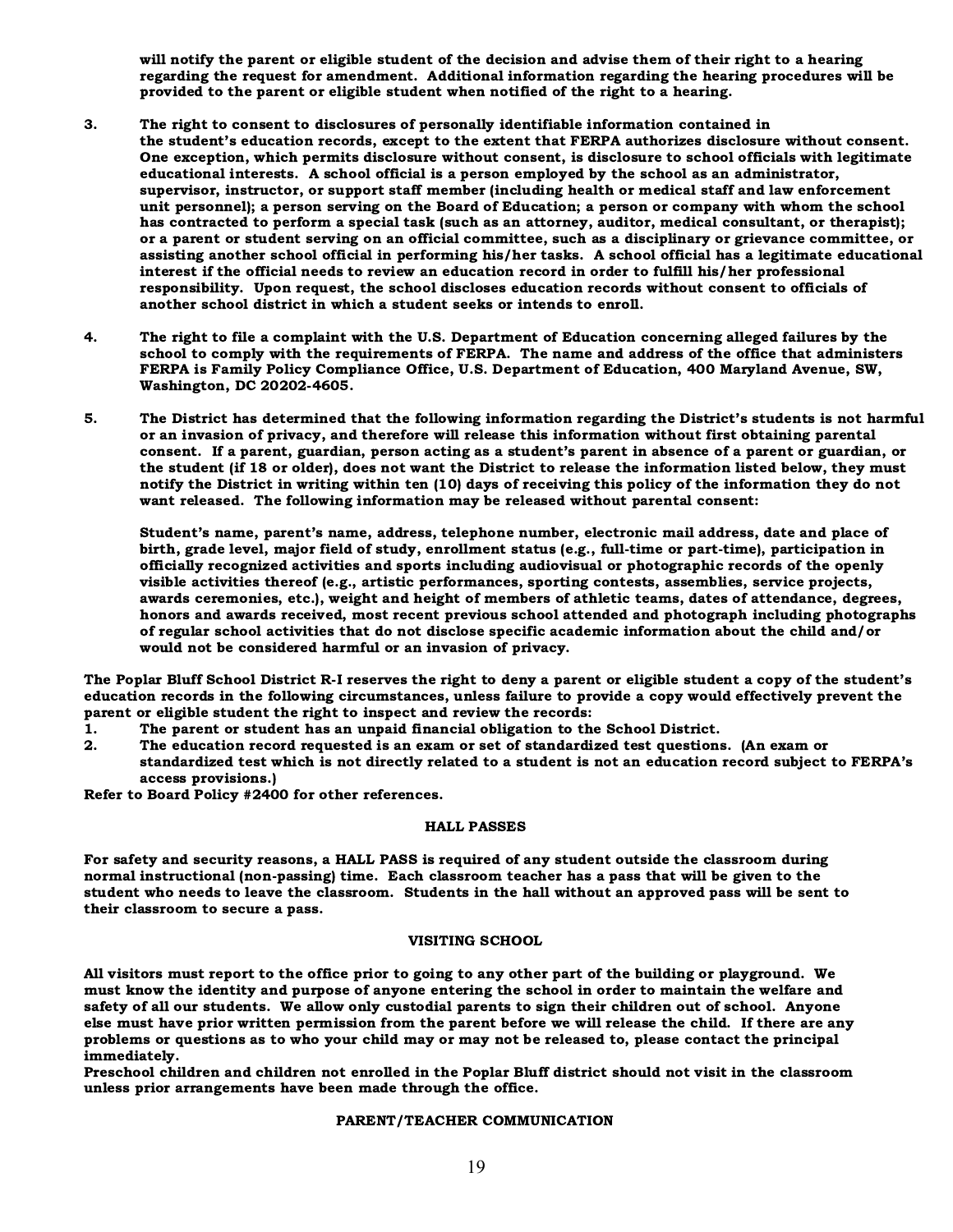will notify the parent or eligible student of the decision and advise them of their right to a hearing regarding the request for amendment. Additional information regarding the hearing procedures will be provided to the parent or eligible student when notified of the right to a hearing.

- 3. The right to consent to disclosures of personally identifiable information contained in the student's education records, except to the extent that FERPA authorizes disclosure without consent. One exception, which permits disclosure without consent, is disclosure to school officials with legitimate educational interests. A school official is a person employed by the school as an administrator, supervisor, instructor, or support staff member (including health or medical staff and law enforcement unit personnel); a person serving on the Board of Education; a person or company with whom the school has contracted to perform a special task (such as an attorney, auditor, medical consultant, or therapist); or a parent or student serving on an official committee, such as a disciplinary or grievance committee, or assisting another school official in performing his/her tasks. A school official has a legitimate educational interest if the official needs to review an education record in order to fulfill his/her professional responsibility. Upon request, the school discloses education records without consent to officials of another school district in which a student seeks or intends to enroll.
- 4. The right to file a complaint with the U.S. Department of Education concerning alleged failures by the school to comply with the requirements of FERPA. The name and address of the office that administers FERPA is Family Policy Compliance Office, U.S. Department of Education, 400 Maryland Avenue, SW, Washington, DC 20202-4605.
- 5. The District has determined that the following information regarding the District's students is not harmful or an invasion of privacy, and therefore will release this information without first obtaining parental consent. If a parent, guardian, person acting as a student's parent in absence of a parent or guardian, or the student (if 18 or older), does not want the District to release the information listed below, they must notify the District in writing within ten (10) days of receiving this policy of the information they do not want released. The following information may be released without parental consent:

Student's name, parent's name, address, telephone number, electronic mail address, date and place of birth, grade level, major field of study, enrollment status (e.g., full-time or part-time), participation in officially recognized activities and sports including audiovisual or photographic records of the openly visible activities thereof (e.g., artistic performances, sporting contests, assemblies, service projects, awards ceremonies, etc.), weight and height of members of athletic teams, dates of attendance, degrees, honors and awards received, most recent previous school attended and photograph including photographs of regular school activities that do not disclose specific academic information about the child and/or would not be considered harmful or an invasion of privacy.

The Poplar Bluff School District R-I reserves the right to deny a parent or eligible student a copy of the student's education records in the following circumstances, unless failure to provide a copy would effectively prevent the parent or eligible student the right to inspect and review the records:

- 1. The parent or student has an unpaid financial obligation to the School District.
- 2. The education record requested is an exam or set of standardized test questions. (An exam or standardized test which is not directly related to a student is not an education record subject to FERPA's access provisions.)

Refer to Board Policy #2400 for other references.

#### HALL PASSES

For safety and security reasons, a HALL PASS is required of any student outside the classroom during normal instructional (non-passing) time. Each classroom teacher has a pass that will be given to the student who needs to leave the classroom. Students in the hall without an approved pass will be sent to their classroom to secure a pass.

#### VISITING SCHOOL

All visitors must report to the office prior to going to any other part of the building or playground. We must know the identity and purpose of anyone entering the school in order to maintain the welfare and safety of all our students. We allow only custodial parents to sign their children out of school. Anyone else must have prior written permission from the parent before we will release the child. If there are any problems or questions as to who your child may or may not be released to, please contact the principal immediately.

Preschool children and children not enrolled in the Poplar Bluff district should not visit in the classroom unless prior arrangements have been made through the office.

#### PARENT/TEACHER COMMUNICATION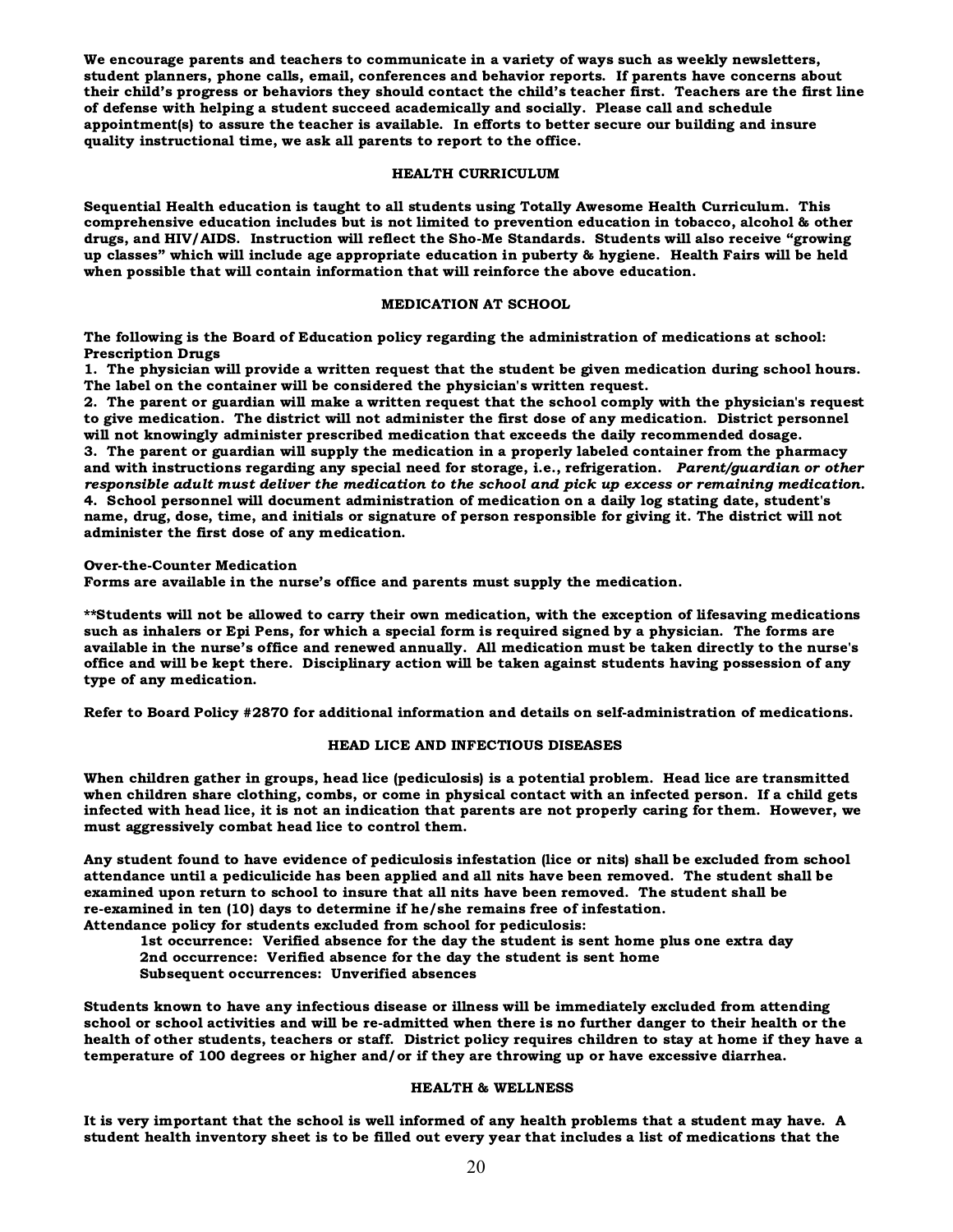We encourage parents and teachers to communicate in a variety of ways such as weekly newsletters, student planners, phone calls, email, conferences and behavior reports. If parents have concerns about their child's progress or behaviors they should contact the child's teacher first. Teachers are the first line of defense with helping a student succeed academically and socially. Please call and schedule appointment(s) to assure the teacher is available. In efforts to better secure our building and insure quality instructional time, we ask all parents to report to the office.

#### HEALTH CURRICULUM

Sequential Health education is taught to all students using Totally Awesome Health Curriculum. This comprehensive education includes but is not limited to prevention education in tobacco, alcohol & other drugs, and HIV/AIDS. Instruction will reflect the Sho-Me Standards. Students will also receive "growing up classes" which will include age appropriate education in puberty & hygiene. Health Fairs will be held when possible that will contain information that will reinforce the above education.

#### MEDICATION AT SCHOOL

The following is the Board of Education policy regarding the administration of medications at school: Prescription Drugs

1. The physician will provide a written request that the student be given medication during school hours. The label on the container will be considered the physician's written request.

2. The parent or guardian will make a written request that the school comply with the physician's request to give medication. The district will not administer the first dose of any medication. District personnel will not knowingly administer prescribed medication that exceeds the daily recommended dosage. 3. The parent or guardian will supply the medication in a properly labeled container from the pharmacy and with instructions regarding any special need for storage, i.e., refrigeration. Parent/guardian or other responsible adult must deliver the medication to the school and pick up excess or remaining medication. 4. School personnel will document administration of medication on a daily log stating date, student's name, drug, dose, time, and initials or signature of person responsible for giving it. The district will not administer the first dose of any medication.

#### Over-the-Counter Medication

Forms are available in the nurse's office and parents must supply the medication.

\*\*Students will not be allowed to carry their own medication, with the exception of lifesaving medications such as inhalers or Epi Pens, for which a special form is required signed by a physician. The forms are available in the nurse's office and renewed annually. All medication must be taken directly to the nurse's office and will be kept there. Disciplinary action will be taken against students having possession of any type of any medication.

Refer to Board Policy #2870 for additional information and details on self-administration of medications.

#### HEAD LICE AND INFECTIOUS DISEASES

When children gather in groups, head lice (pediculosis) is a potential problem. Head lice are transmitted when children share clothing, combs, or come in physical contact with an infected person. If a child gets infected with head lice, it is not an indication that parents are not properly caring for them. However, we must aggressively combat head lice to control them.

Any student found to have evidence of pediculosis infestation (lice or nits) shall be excluded from school attendance until a pediculicide has been applied and all nits have been removed. The student shall be examined upon return to school to insure that all nits have been removed. The student shall be re-examined in ten (10) days to determine if he/she remains free of infestation. Attendance policy for students excluded from school for pediculosis:

1st occurrence: Verified absence for the day the student is sent home plus one extra day 2nd occurrence: Verified absence for the day the student is sent home

Subsequent occurrences: Unverified absences

Students known to have any infectious disease or illness will be immediately excluded from attending school or school activities and will be re-admitted when there is no further danger to their health or the health of other students, teachers or staff. District policy requires children to stay at home if they have a temperature of 100 degrees or higher and/or if they are throwing up or have excessive diarrhea.

#### HEALTH & WELLNESS

It is very important that the school is well informed of any health problems that a student may have. A student health inventory sheet is to be filled out every year that includes a list of medications that the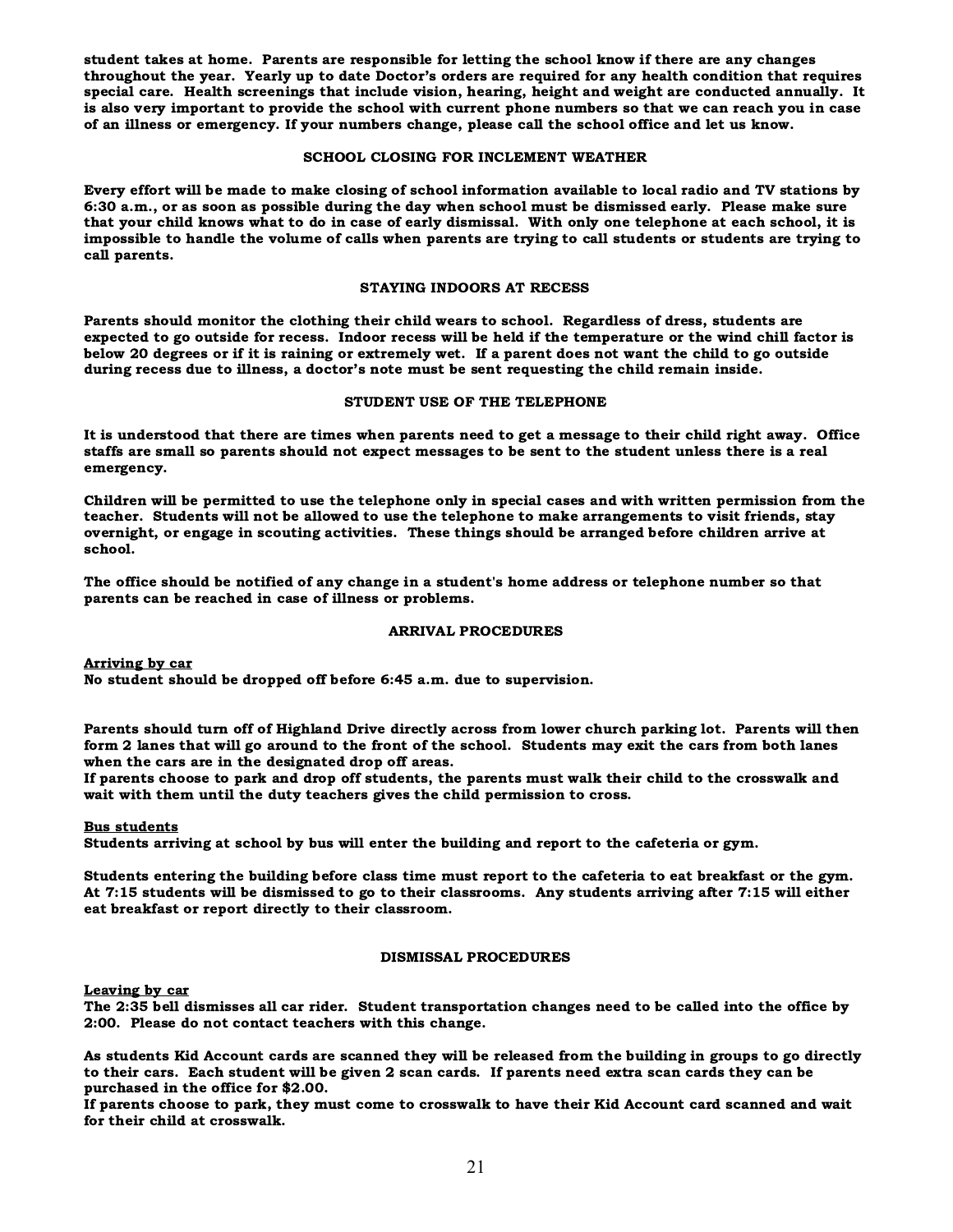student takes at home. Parents are responsible for letting the school know if there are any changes throughout the year. Yearly up to date Doctor's orders are required for any health condition that requires special care. Health screenings that include vision, hearing, height and weight are conducted annually. It is also very important to provide the school with current phone numbers so that we can reach you in case of an illness or emergency. If your numbers change, please call the school office and let us know.

#### SCHOOL CLOSING FOR INCLEMENT WEATHER

Every effort will be made to make closing of school information available to local radio and TV stations by 6:30 a.m., or as soon as possible during the day when school must be dismissed early. Please make sure that your child knows what to do in case of early dismissal. With only one telephone at each school, it is impossible to handle the volume of calls when parents are trying to call students or students are trying to call parents.

#### STAYING INDOORS AT RECESS

Parents should monitor the clothing their child wears to school. Regardless of dress, students are expected to go outside for recess. Indoor recess will be held if the temperature or the wind chill factor is below 20 degrees or if it is raining or extremely wet. If a parent does not want the child to go outside during recess due to illness, a doctor's note must be sent requesting the child remain inside.

#### STUDENT USE OF THE TELEPHONE

It is understood that there are times when parents need to get a message to their child right away. Office staffs are small so parents should not expect messages to be sent to the student unless there is a real emergency.

Children will be permitted to use the telephone only in special cases and with written permission from the teacher. Students will not be allowed to use the telephone to make arrangements to visit friends, stay overnight, or engage in scouting activities. These things should be arranged before children arrive at school.

The office should be notified of any change in a student's home address or telephone number so that parents can be reached in case of illness or problems.

#### ARRIVAL PROCEDURES

Arriving by car

No student should be dropped off before 6:45 a.m. due to supervision.

Parents should turn off of Highland Drive directly across from lower church parking lot. Parents will then form 2 lanes that will go around to the front of the school. Students may exit the cars from both lanes when the cars are in the designated drop off areas.

If parents choose to park and drop off students, the parents must walk their child to the crosswalk and wait with them until the duty teachers gives the child permission to cross.

#### Bus students

Students arriving at school by bus will enter the building and report to the cafeteria or gym.

Students entering the building before class time must report to the cafeteria to eat breakfast or the gym. At 7:15 students will be dismissed to go to their classrooms. Any students arriving after 7:15 will either eat breakfast or report directly to their classroom.

#### DISMISSAL PROCEDURES

Leaving by car

The 2:35 bell dismisses all car rider. Student transportation changes need to be called into the office by 2:00. Please do not contact teachers with this change.

As students Kid Account cards are scanned they will be released from the building in groups to go directly to their cars. Each student will be given 2 scan cards. If parents need extra scan cards they can be purchased in the office for \$2.00.

If parents choose to park, they must come to crosswalk to have their Kid Account card scanned and wait for their child at crosswalk.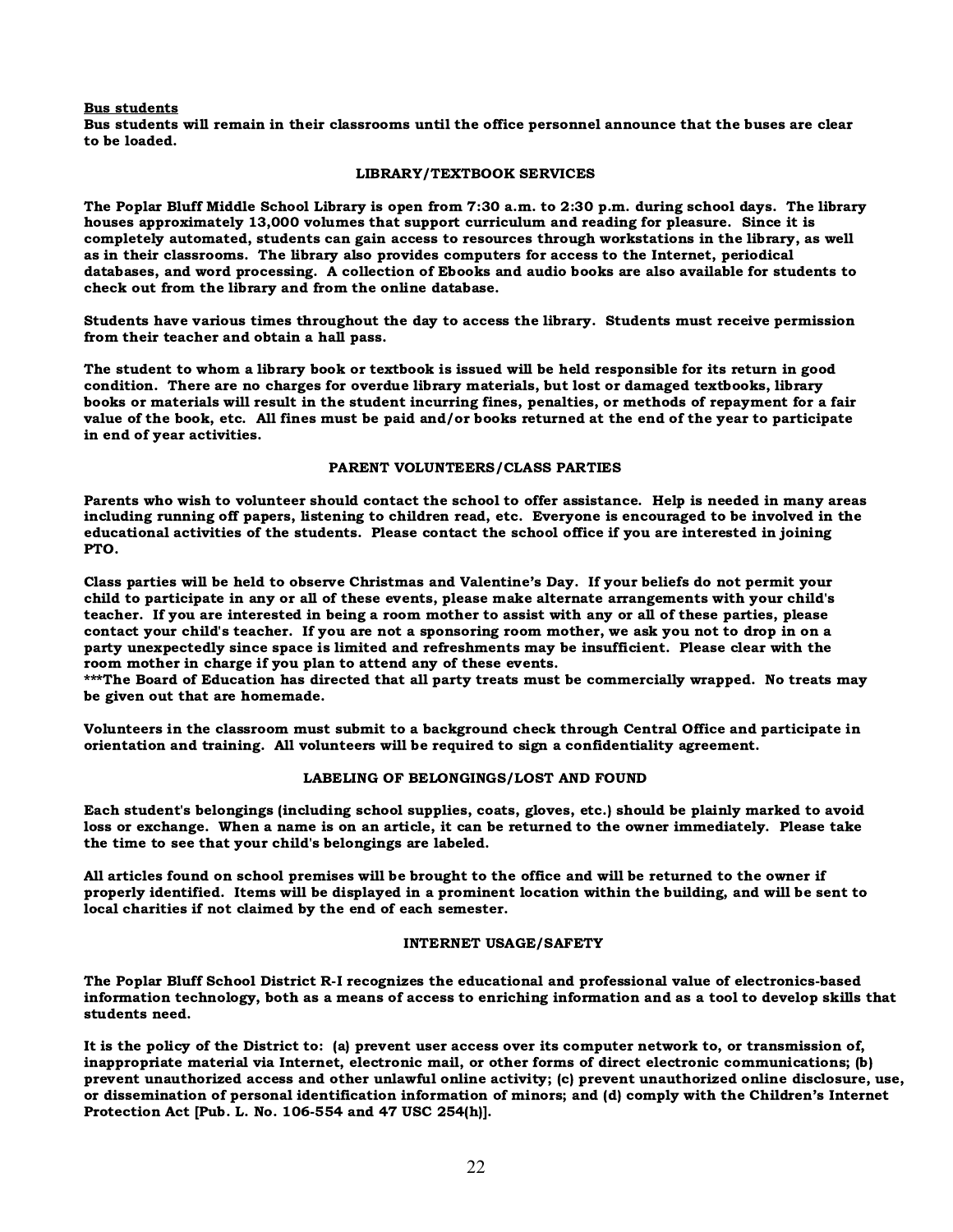#### Bus students

Bus students will remain in their classrooms until the office personnel announce that the buses are clear to be loaded.

#### LIBRARY/TEXTBOOK SERVICES

The Poplar Bluff Middle School Library is open from 7:30 a.m. to 2:30 p.m. during school days. The library houses approximately 13,000 volumes that support curriculum and reading for pleasure. Since it is completely automated, students can gain access to resources through workstations in the library, as well as in their classrooms. The library also provides computers for access to the Internet, periodical databases, and word processing. A collection of Ebooks and audio books are also available for students to check out from the library and from the online database.

Students have various times throughout the day to access the library. Students must receive permission from their teacher and obtain a hall pass.

The student to whom a library book or textbook is issued will be held responsible for its return in good condition. There are no charges for overdue library materials, but lost or damaged textbooks, library books or materials will result in the student incurring fines, penalties, or methods of repayment for a fair value of the book, etc. All fines must be paid and/or books returned at the end of the year to participate in end of year activities.

#### PARENT VOLUNTEERS/CLASS PARTIES

Parents who wish to volunteer should contact the school to offer assistance. Help is needed in many areas including running off papers, listening to children read, etc. Everyone is encouraged to be involved in the educational activities of the students. Please contact the school office if you are interested in joining PTO.

Class parties will be held to observe Christmas and Valentine's Day. If your beliefs do not permit your child to participate in any or all of these events, please make alternate arrangements with your child's teacher. If you are interested in being a room mother to assist with any or all of these parties, please contact your child's teacher. If you are not a sponsoring room mother, we ask you not to drop in on a party unexpectedly since space is limited and refreshments may be insufficient. Please clear with the room mother in charge if you plan to attend any of these events.

\*\*\*The Board of Education has directed that all party treats must be commercially wrapped. No treats may be given out that are homemade.

Volunteers in the classroom must submit to a background check through Central Office and participate in orientation and training. All volunteers will be required to sign a confidentiality agreement.

#### LABELING OF BELONGINGS/LOST AND FOUND

Each student's belongings (including school supplies, coats, gloves, etc.) should be plainly marked to avoid loss or exchange. When a name is on an article, it can be returned to the owner immediately. Please take the time to see that your child's belongings are labeled.

All articles found on school premises will be brought to the office and will be returned to the owner if properly identified. Items will be displayed in a prominent location within the building, and will be sent to local charities if not claimed by the end of each semester.

#### INTERNET USAGE/SAFETY

The Poplar Bluff School District R-I recognizes the educational and professional value of electronics-based information technology, both as a means of access to enriching information and as a tool to develop skills that students need.

It is the policy of the District to: (a) prevent user access over its computer network to, or transmission of, inappropriate material via Internet, electronic mail, or other forms of direct electronic communications; (b) prevent unauthorized access and other unlawful online activity; (c) prevent unauthorized online disclosure, use, or dissemination of personal identification information of minors; and (d) comply with the Children's Internet Protection Act [Pub. L. No. 106-554 and 47 USC 254(h)].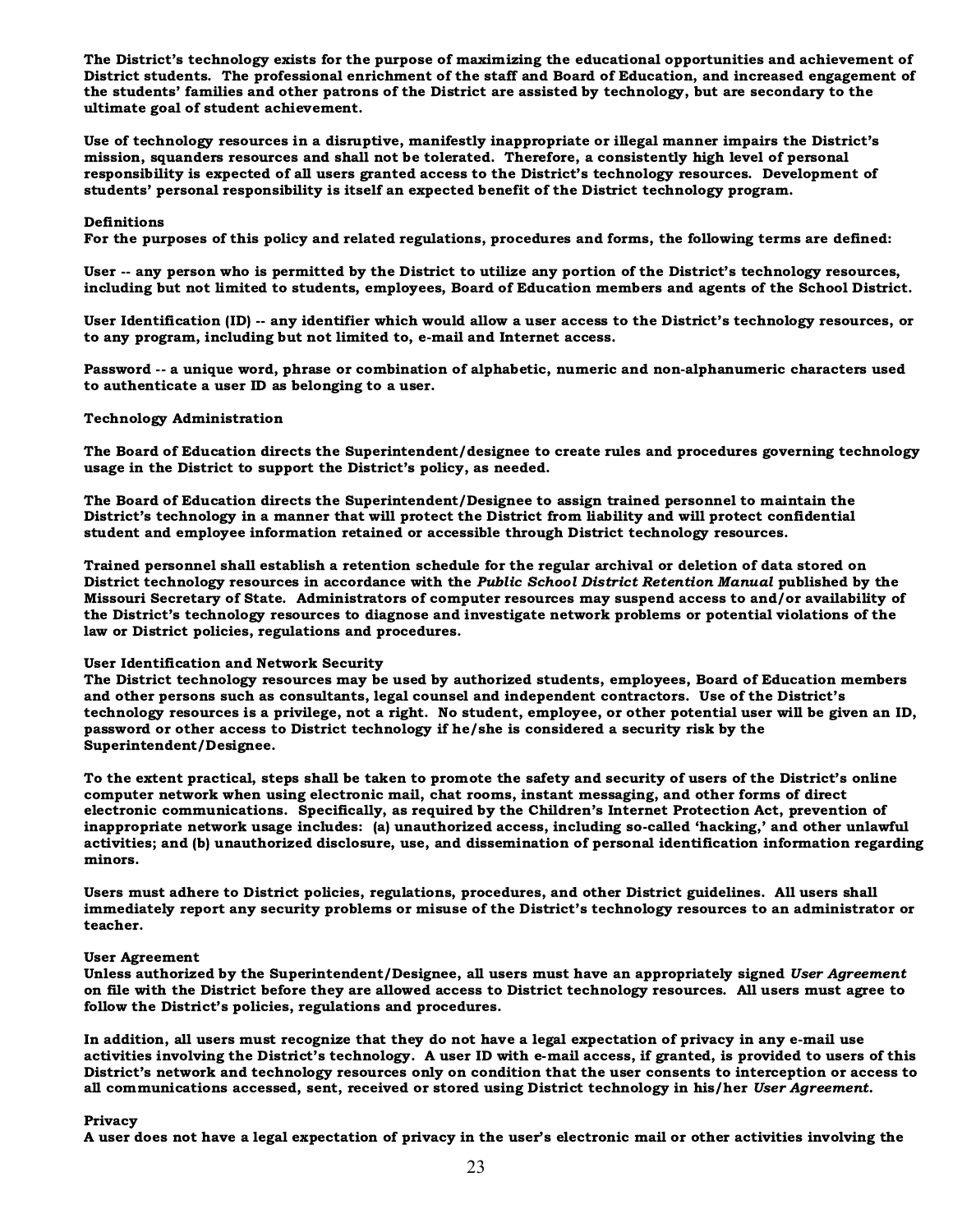The District's technology exists for the purpose of maximizing the educational opportunities and achievement of District students. The professional enrichment of the staff and Board of Education, and increased engagement of the students' families and other patrons of the District are assisted by technology, but are secondary to the ultimate goal of student achievement.

Use of technology resources in a disruptive, manifestly inappropriate or illegal manner impairs the District's mission, squanders resources and shall not be tolerated. Therefore, a consistently high level of personal responsibility is expected of all users granted access to the District's technology resources. Development of students' personal responsibility is itself an expected benefit of the District technology program.

#### Definitions

For the purposes of this policy and related regulations, procedures and forms, the following terms are defined:

User -- any person who is permitted by the District to utilize any portion of the District's technology resources, including but not limited to students, employees, Board of Education members and agents of the School District.

User Identification (ID) -- any identifier which would allow a user access to the District's technology resources, or to any program, including but not limited to, e-mail and Internet access.

Password -- a unique word, phrase or combination of alphabetic, numeric and non-alphanumeric characters used to authenticate a user ID as belonging to a user.

#### Technology Administration

The Board of Education directs the Superintendent/designee to create rules and procedures governing technology usage in the District to support the District's policy, as needed.

The Board of Education directs the Superintendent/Designee to assign trained personnel to maintain the District's technology in a manner that will protect the District from liability and will protect confidential student and employee information retained or accessible through District technology resources.

Trained personnel shall establish a retention schedule for the regular archival or deletion of data stored on District technology resources in accordance with the Public School District Retention Manual published by the Missouri Secretary of State. Administrators of computer resources may suspend access to and/or availability of the District's technology resources to diagnose and investigate network problems or potential violations of the law or District policies, regulations and procedures.

#### User Identification and Network Security

The District technology resources may be used by authorized students, employees, Board of Education members and other persons such as consultants, legal counsel and independent contractors. Use of the District's technology resources is a privilege, not a right. No student, employee, or other potential user will be given an ID, password or other access to District technology if he/she is considered a security risk by the Superintendent/Designee.

To the extent practical, steps shall be taken to promote the safety and security of users of the District's online computer network when using electronic mail, chat rooms, instant messaging, and other forms of direct electronic communications. Specifically, as required by the Children's Internet Protection Act, prevention of inappropriate network usage includes: (a) unauthorized access, including so-called 'hacking,' and other unlawful activities; and (b) unauthorized disclosure, use, and dissemination of personal identification information regarding minors.

Users must adhere to District policies, regulations, procedures, and other District guidelines. All users shall immediately report any security problems or misuse of the District's technology resources to an administrator or teacher.

#### User Agreement

Unless authorized by the Superintendent/Designee, all users must have an appropriately signed User Agreement on file with the District before they are allowed access to District technology resources. All users must agree to follow the District's policies, regulations and procedures.

In addition, all users must recognize that they do not have a legal expectation of privacy in any e-mail use activities involving the District's technology. A user ID with e-mail access, if granted, is provided to users of this District's network and technology resources only on condition that the user consents to interception or access to all communications accessed, sent, received or stored using District technology in his/her User Agreement.

#### Privacy

A user does not have a legal expectation of privacy in the user's electronic mail or other activities involving the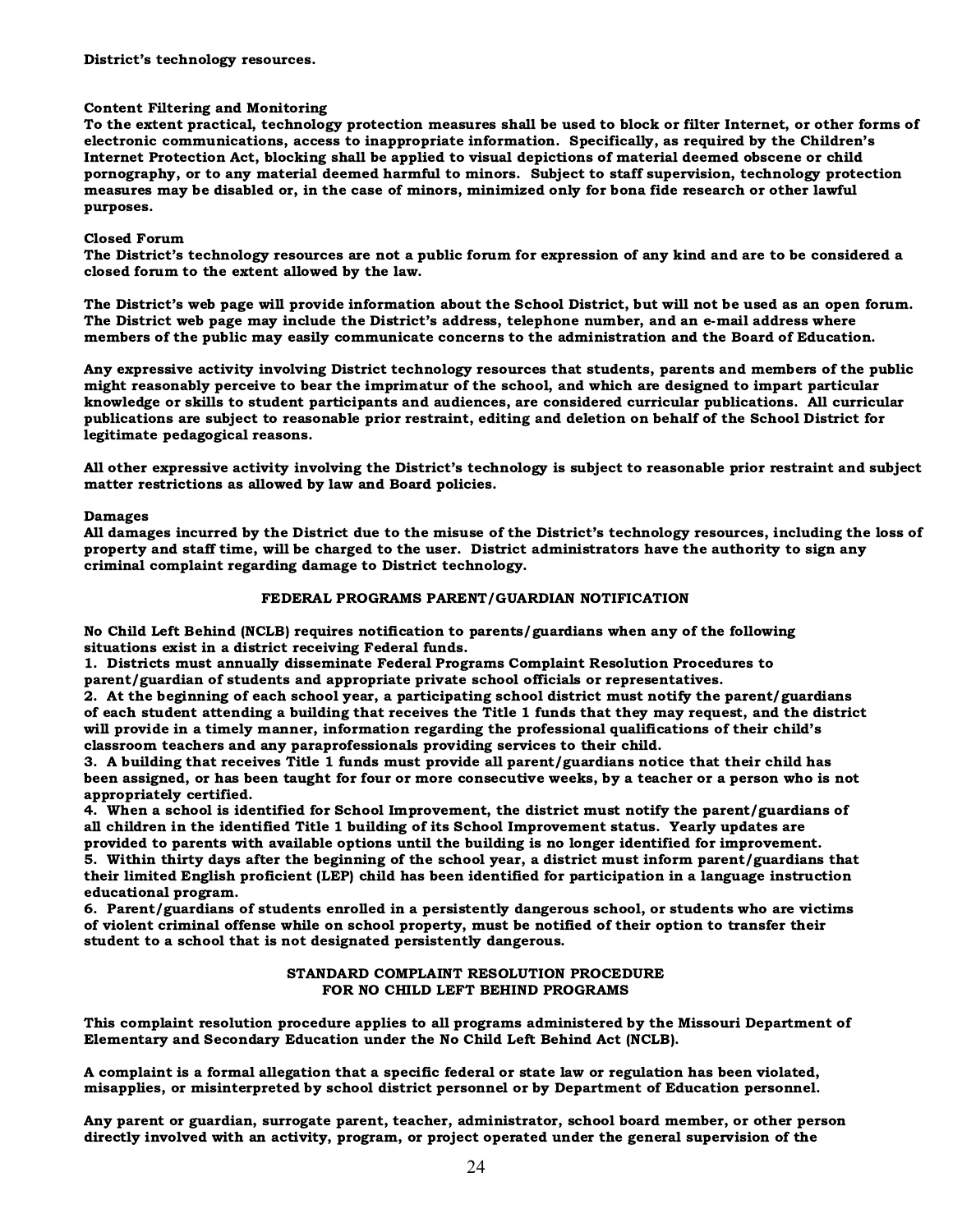#### Content Filtering and Monitoring

To the extent practical, technology protection measures shall be used to block or filter Internet, or other forms of electronic communications, access to inappropriate information. Specifically, as required by the Children's Internet Protection Act, blocking shall be applied to visual depictions of material deemed obscene or child pornography, or to any material deemed harmful to minors. Subject to staff supervision, technology protection measures may be disabled or, in the case of minors, minimized only for bona fide research or other lawful purposes.

#### Closed Forum

The District's technology resources are not a public forum for expression of any kind and are to be considered a closed forum to the extent allowed by the law.

The District's web page will provide information about the School District, but will not be used as an open forum. The District web page may include the District's address, telephone number, and an e-mail address where members of the public may easily communicate concerns to the administration and the Board of Education.

Any expressive activity involving District technology resources that students, parents and members of the public might reasonably perceive to bear the imprimatur of the school, and which are designed to impart particular knowledge or skills to student participants and audiences, are considered curricular publications. All curricular publications are subject to reasonable prior restraint, editing and deletion on behalf of the School District for legitimate pedagogical reasons.

All other expressive activity involving the District's technology is subject to reasonable prior restraint and subject matter restrictions as allowed by law and Board policies.

#### Damages

All damages incurred by the District due to the misuse of the District's technology resources, including the loss of property and staff time, will be charged to the user. District administrators have the authority to sign any criminal complaint regarding damage to District technology.

#### FEDERAL PROGRAMS PARENT/GUARDIAN NOTIFICATION

No Child Left Behind (NCLB) requires notification to parents/guardians when any of the following situations exist in a district receiving Federal funds.

1. Districts must annually disseminate Federal Programs Complaint Resolution Procedures to parent/guardian of students and appropriate private school officials or representatives.

2. At the beginning of each school year, a participating school district must notify the parent/guardians of each student attending a building that receives the Title 1 funds that they may request, and the district will provide in a timely manner, information regarding the professional qualifications of their child's classroom teachers and any paraprofessionals providing services to their child.

3. A building that receives Title 1 funds must provide all parent/guardians notice that their child has been assigned, or has been taught for four or more consecutive weeks, by a teacher or a person who is not appropriately certified.

4. When a school is identified for School Improvement, the district must notify the parent/guardians of all children in the identified Title 1 building of its School Improvement status. Yearly updates are provided to parents with available options until the building is no longer identified for improvement.

5. Within thirty days after the beginning of the school year, a district must inform parent/guardians that their limited English proficient (LEP) child has been identified for participation in a language instruction educational program.

6. Parent/guardians of students enrolled in a persistently dangerous school, or students who are victims of violent criminal offense while on school property, must be notified of their option to transfer their student to a school that is not designated persistently dangerous.

#### STANDARD COMPLAINT RESOLUTION PROCEDURE FOR NO CHILD LEFT BEHIND PROGRAMS

This complaint resolution procedure applies to all programs administered by the Missouri Department of Elementary and Secondary Education under the No Child Left Behind Act (NCLB).

A complaint is a formal allegation that a specific federal or state law or regulation has been violated, misapplies, or misinterpreted by school district personnel or by Department of Education personnel.

Any parent or guardian, surrogate parent, teacher, administrator, school board member, or other person directly involved with an activity, program, or project operated under the general supervision of the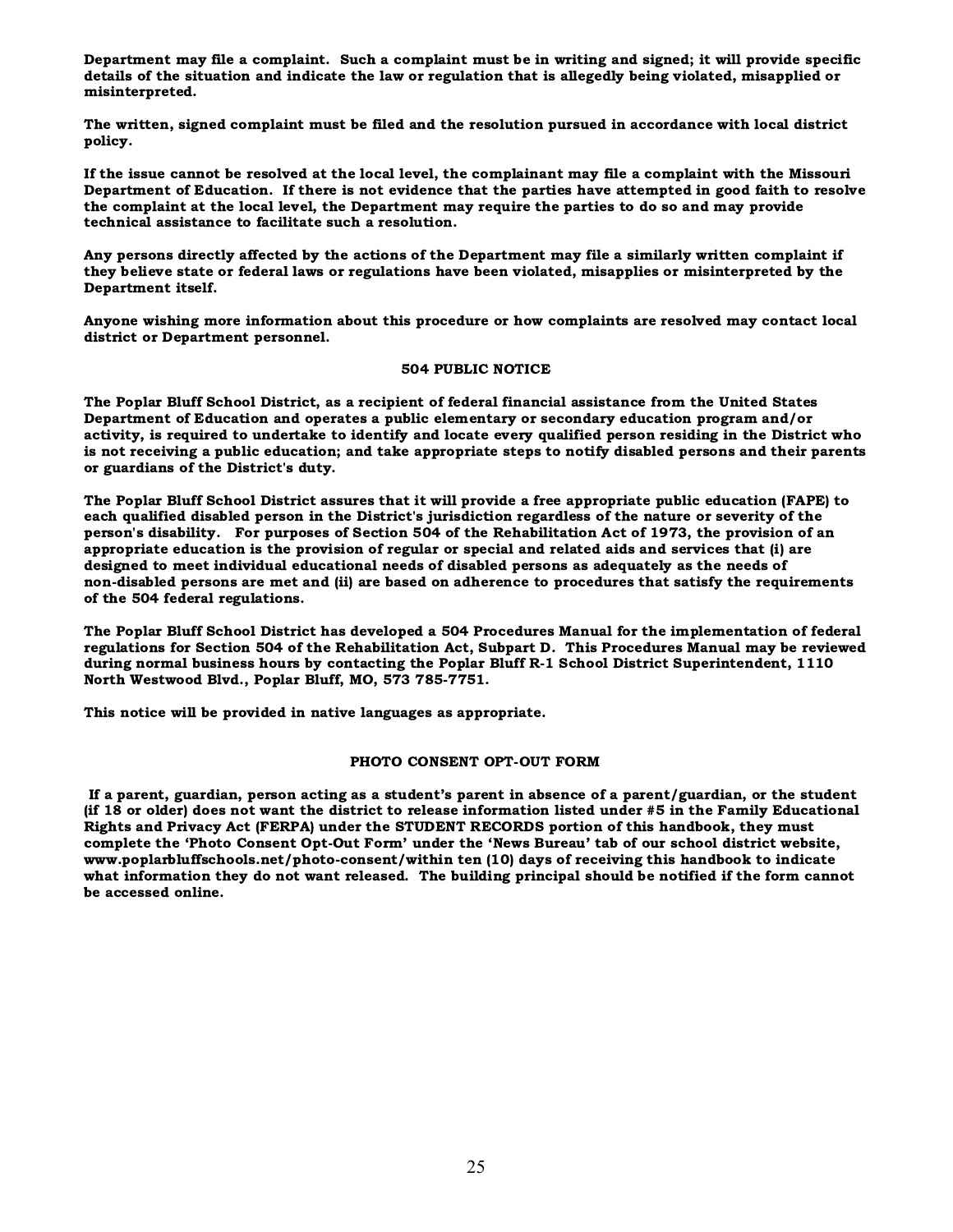Department may file a complaint. Such a complaint must be in writing and signed; it will provide specific details of the situation and indicate the law or regulation that is allegedly being violated, misapplied or misinterpreted.

The written, signed complaint must be filed and the resolution pursued in accordance with local district policy.

If the issue cannot be resolved at the local level, the complainant may file a complaint with the Missouri Department of Education. If there is not evidence that the parties have attempted in good faith to resolve the complaint at the local level, the Department may require the parties to do so and may provide technical assistance to facilitate such a resolution.

Any persons directly affected by the actions of the Department may file a similarly written complaint if they believe state or federal laws or regulations have been violated, misapplies or misinterpreted by the Department itself.

Anyone wishing more information about this procedure or how complaints are resolved may contact local district or Department personnel.

#### 504 PUBLIC NOTICE

The Poplar Bluff School District, as a recipient of federal financial assistance from the United States Department of Education and operates a public elementary or secondary education program and/or activity, is required to undertake to identify and locate every qualified person residing in the District who is not receiving a public education; and take appropriate steps to notify disabled persons and their parents or guardians of the District's duty.

The Poplar Bluff School District assures that it will provide a free appropriate public education (FAPE) to each qualified disabled person in the District's jurisdiction regardless of the nature or severity of the person's disability. For purposes of Section 504 of the Rehabilitation Act of 1973, the provision of an appropriate education is the provision of regular or special and related aids and services that (i) are designed to meet individual educational needs of disabled persons as adequately as the needs of non-disabled persons are met and (ii) are based on adherence to procedures that satisfy the requirements of the 504 federal regulations.

The Poplar Bluff School District has developed a 504 Procedures Manual for the implementation of federal regulations for Section 504 of the Rehabilitation Act, Subpart D. This Procedures Manual may be reviewed during normal business hours by contacting the Poplar Bluff R-1 School District Superintendent, 1110 North Westwood Blvd., Poplar Bluff, MO, 573 785-7751.

This notice will be provided in native languages as appropriate.

#### PHOTO CONSENT OPT-OUT FORM

 If a parent, guardian, person acting as a student's parent in absence of a parent/guardian, or the student (if 18 or older) does not want the district to release information listed under #5 in the Family Educational Rights and Privacy Act (FERPA) under the STUDENT RECORDS portion of this handbook, they must complete the 'Photo Consent Opt-Out Form' under the 'News Bureau' tab of our school district website, www.poplarbluffschools.net/photo-consent/within ten (10) days of receiving this handbook to indicate what information they do not want released. The building principal should be notified if the form cannot be accessed online.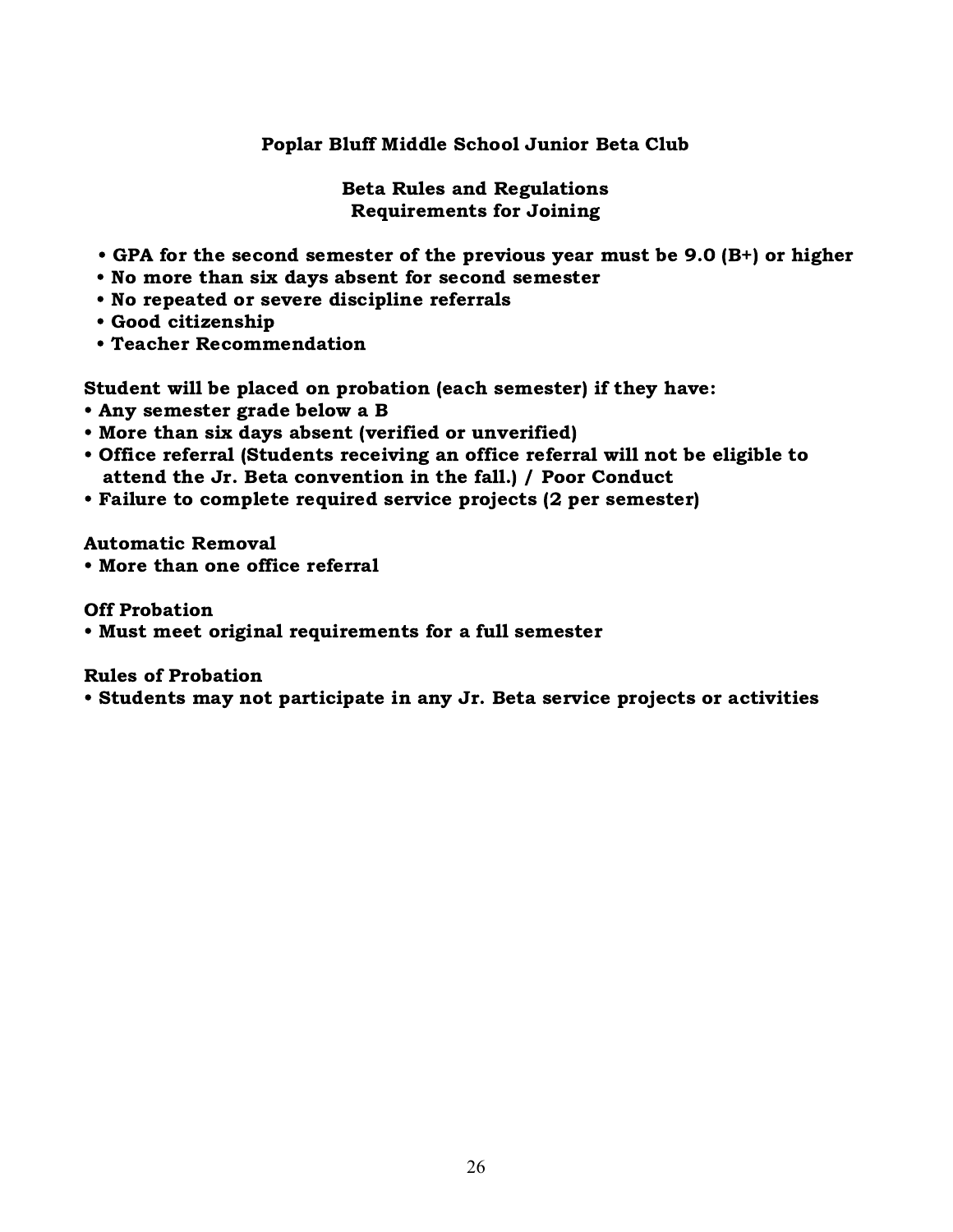### Poplar Bluff Middle School Junior Beta Club

Beta Rules and Regulations Requirements for Joining

- GPA for the second semester of the previous year must be 9.0 (B+) or higher
- No more than six days absent for second semester
- No repeated or severe discipline referrals
- Good citizenship
- Teacher Recommendation

Student will be placed on probation (each semester) if they have:

- Any semester grade below a B
- More than six days absent (verified or unverified)
- Office referral (Students receiving an office referral will not be eligible to attend the Jr. Beta convention in the fall.) / Poor Conduct
- Failure to complete required service projects (2 per semester)

Automatic Removal

• More than one office referral

Off Probation

• Must meet original requirements for a full semester

Rules of Probation

• Students may not participate in any Jr. Beta service projects or activities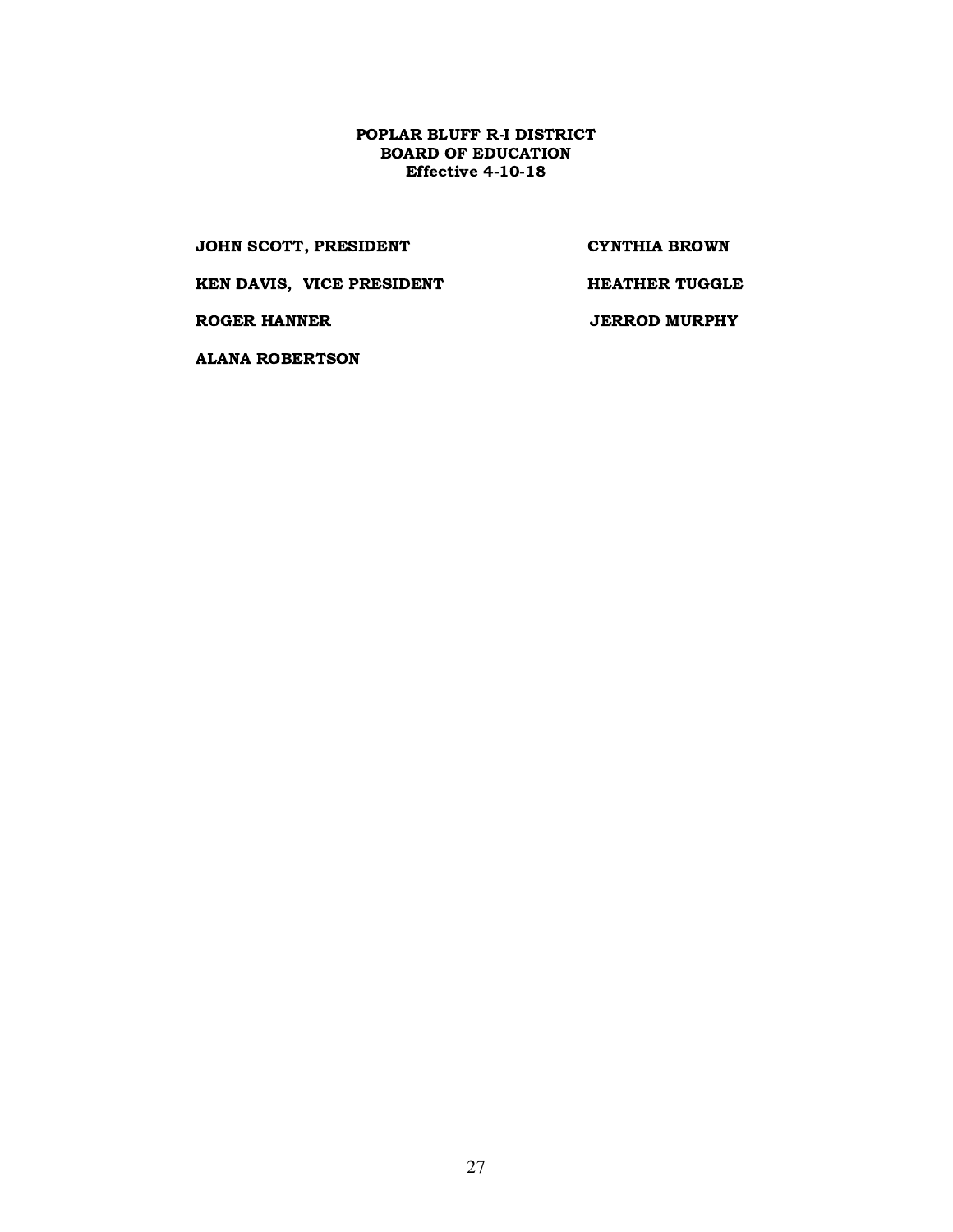#### POPLAR BLUFF R-I DISTRICT BOARD OF EDUCATION Effective 4-10-18

JOHN SCOTT, PRESIDENT CYNTHIA BROWN

KEN DAVIS, VICE PRESIDENT HEATHER TUGGLE

ROGER HANNER JERROD MURPHY

ALANA ROBERTSON